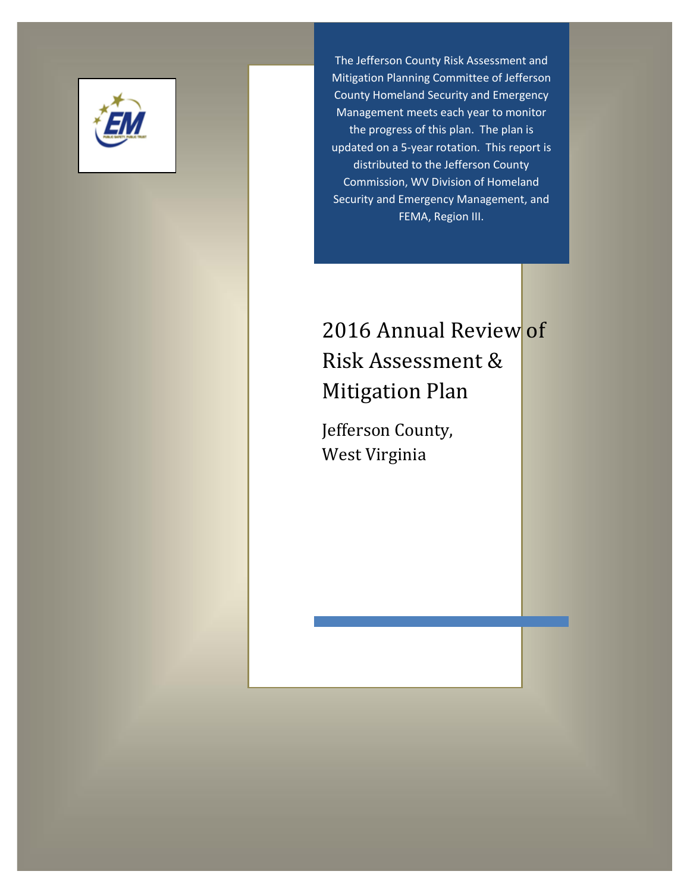

The Jefferson County Risk Assessment and Mitigation Planning Committee of Jefferson County Homeland Security and Emergency Management meets each year to monitor the progress of this plan. The plan is updated on a 5-year rotation. This report is distributed to the Jefferson County Commission, WV Division of Homeland Security and Emergency Management, and FEMA, Region III.

# 2016 Annual Review of Risk Assessment & Mitigation Plan

Jefferson County, West Virginia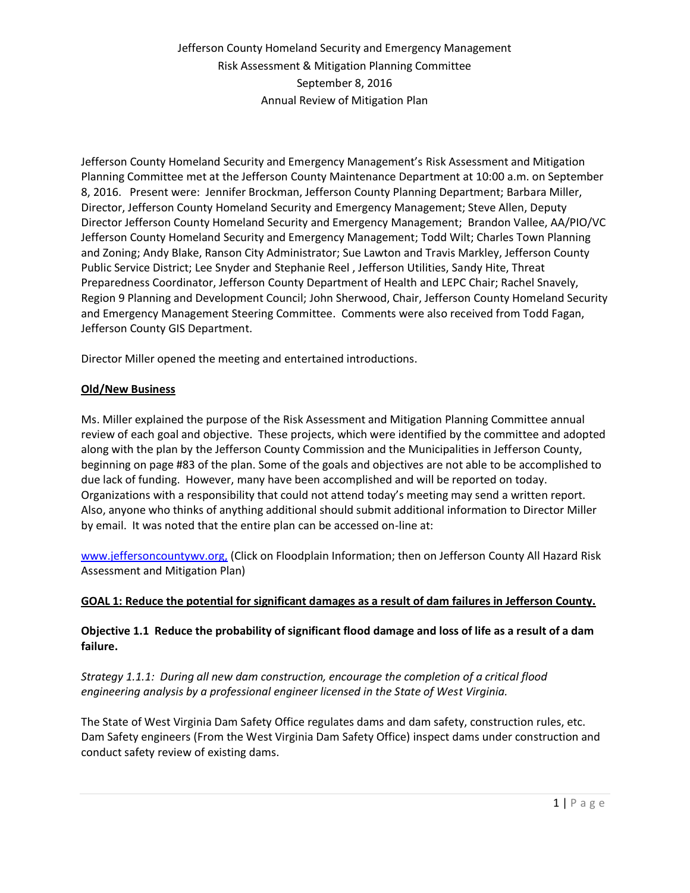Jefferson County Homeland Security and Emergency Management's Risk Assessment and Mitigation Planning Committee met at the Jefferson County Maintenance Department at 10:00 a.m. on September 8, 2016. Present were: Jennifer Brockman, Jefferson County Planning Department; Barbara Miller, Director, Jefferson County Homeland Security and Emergency Management; Steve Allen, Deputy Director Jefferson County Homeland Security and Emergency Management; Brandon Vallee, AA/PIO/VC Jefferson County Homeland Security and Emergency Management; Todd Wilt; Charles Town Planning and Zoning; Andy Blake, Ranson City Administrator; Sue Lawton and Travis Markley, Jefferson County Public Service District; Lee Snyder and Stephanie Reel , Jefferson Utilities, Sandy Hite, Threat Preparedness Coordinator, Jefferson County Department of Health and LEPC Chair; Rachel Snavely, Region 9 Planning and Development Council; John Sherwood, Chair, Jefferson County Homeland Security and Emergency Management Steering Committee. Comments were also received from Todd Fagan, Jefferson County GIS Department.

Director Miller opened the meeting and entertained introductions.

#### **Old/New Business**

Ms. Miller explained the purpose of the Risk Assessment and Mitigation Planning Committee annual review of each goal and objective. These projects, which were identified by the committee and adopted along with the plan by the Jefferson County Commission and the Municipalities in Jefferson County, beginning on page #83 of the plan. Some of the goals and objectives are not able to be accomplished to due lack of funding. However, many have been accomplished and will be reported on today. Organizations with a responsibility that could not attend today's meeting may send a written report. Also, anyone who thinks of anything additional should submit additional information to Director Miller by email. It was noted that the entire plan can be accessed on-line at:

[www.jeffersoncountywv.org,](http://www.jeffersoncountywv.org/showdocument?id=2715) (Click on Floodplain Information; then on Jefferson County All Hazard Risk Assessment and Mitigation Plan)

#### **GOAL 1: Reduce the potential for significant damages as a result of dam failures in Jefferson County.**

#### **Objective 1.1 Reduce the probability of significant flood damage and loss of life as a result of a dam failure.**

*Strategy 1.1.1: During all new dam construction, encourage the completion of a critical flood engineering analysis by a professional engineer licensed in the State of West Virginia.*

The State of West Virginia Dam Safety Office regulates dams and dam safety, construction rules, etc. Dam Safety engineers (From the West Virginia Dam Safety Office) inspect dams under construction and conduct safety review of existing dams.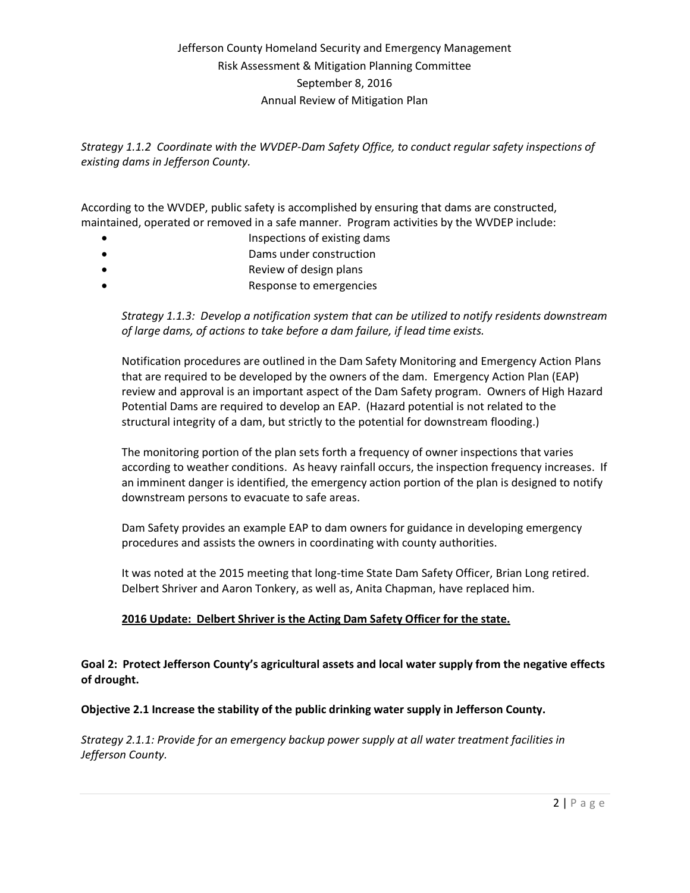*Strategy 1.1.2 Coordinate with the WVDEP-Dam Safety Office, to conduct regular safety inspections of existing dams in Jefferson County.* 

According to the WVDEP, public safety is accomplished by ensuring that dams are constructed, maintained, operated or removed in a safe manner. Program activities by the WVDEP include:

- Inspections of existing dams
- Dams under construction
- Review of design plans
- Response to emergencies

*Strategy 1.1.3: Develop a notification system that can be utilized to notify residents downstream of large dams, of actions to take before a dam failure, if lead time exists.*

Notification procedures are outlined in the Dam Safety Monitoring and Emergency Action Plans that are required to be developed by the owners of the dam. Emergency Action Plan (EAP) review and approval is an important aspect of the Dam Safety program. Owners of High Hazard Potential Dams are required to develop an EAP. (Hazard potential is not related to the structural integrity of a dam, but strictly to the potential for downstream flooding.)

The monitoring portion of the plan sets forth a frequency of owner inspections that varies according to weather conditions. As heavy rainfall occurs, the inspection frequency increases. If an imminent danger is identified, the emergency action portion of the plan is designed to notify downstream persons to evacuate to safe areas.

Dam Safety provides an example EAP to dam owners for guidance in developing emergency procedures and assists the owners in coordinating with county authorities.

It was noted at the 2015 meeting that long-time State Dam Safety Officer, Brian Long retired. Delbert Shriver and Aaron Tonkery, as well as, Anita Chapman, have replaced him.

### **2016 Update: Delbert Shriver is the Acting Dam Safety Officer for the state.**

**Goal 2: Protect Jefferson County's agricultural assets and local water supply from the negative effects of drought.**

### **Objective 2.1 Increase the stability of the public drinking water supply in Jefferson County.**

*Strategy 2.1.1: Provide for an emergency backup power supply at all water treatment facilities in Jefferson County.*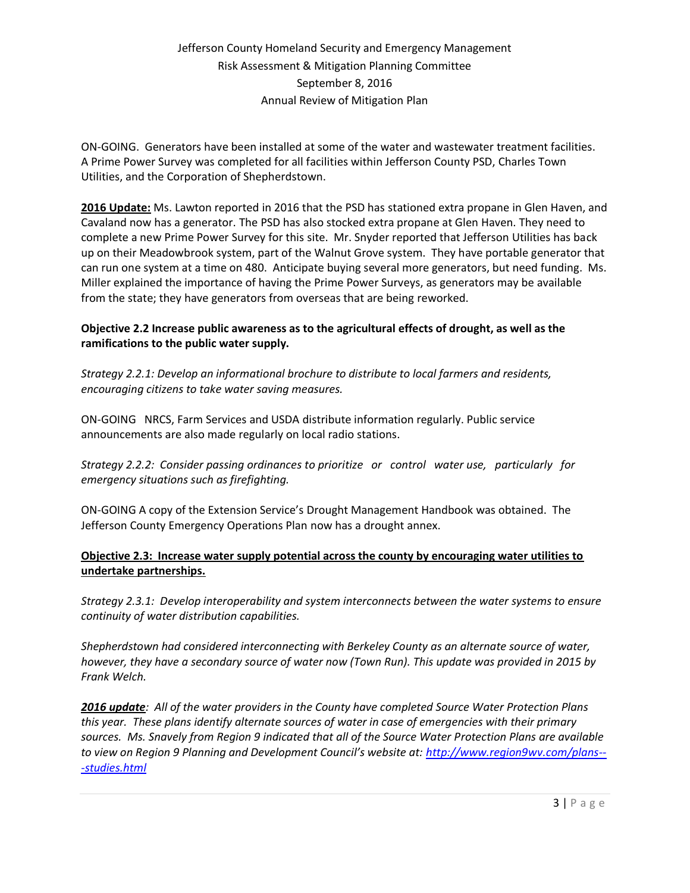ON-GOING. Generators have been installed at some of the water and wastewater treatment facilities. A Prime Power Survey was completed for all facilities within Jefferson County PSD, Charles Town Utilities, and the Corporation of Shepherdstown.

**2016 Update:** Ms. Lawton reported in 2016 that the PSD has stationed extra propane in Glen Haven, and Cavaland now has a generator. The PSD has also stocked extra propane at Glen Haven. They need to complete a new Prime Power Survey for this site. Mr. Snyder reported that Jefferson Utilities has back up on their Meadowbrook system, part of the Walnut Grove system. They have portable generator that can run one system at a time on 480. Anticipate buying several more generators, but need funding. Ms. Miller explained the importance of having the Prime Power Surveys, as generators may be available from the state; they have generators from overseas that are being reworked.

### **Objective 2.2 Increase public awareness as to the agricultural effects of drought, as well as the ramifications to the public water supply.**

*Strategy 2.2.1: Develop an informational brochure to distribute to local farmers and residents, encouraging citizens to take water saving measures.* 

ON-GOING NRCS, Farm Services and USDA distribute information regularly. Public service announcements are also made regularly on local radio stations.

*Strategy 2.2.2: Consider passing ordinances to prioritize or control water use, particularly for emergency situations such as firefighting.*

ON-GOING A copy of the Extension Service's Drought Management Handbook was obtained. The Jefferson County Emergency Operations Plan now has a drought annex.

### **Objective 2.3: Increase water supply potential across the county by encouraging water utilities to undertake partnerships.**

*Strategy 2.3.1: Develop interoperability and system interconnects between the water systems to ensure continuity of water distribution capabilities.*

*Shepherdstown had considered interconnecting with Berkeley County as an alternate source of water, however, they have a secondary source of water now (Town Run). This update was provided in 2015 by Frank Welch.*

*2016 update: All of the water providers in the County have completed Source Water Protection Plans this year. These plans identify alternate sources of water in case of emergencies with their primary sources. Ms. Snavely from Region 9 indicated that all of the Source Water Protection Plans are available to view on Region 9 Planning and Development Council's website at: [http://www.region9wv.com/plans--](http://www.region9wv.com/plans---studies.html) [-studies.html](http://www.region9wv.com/plans---studies.html)*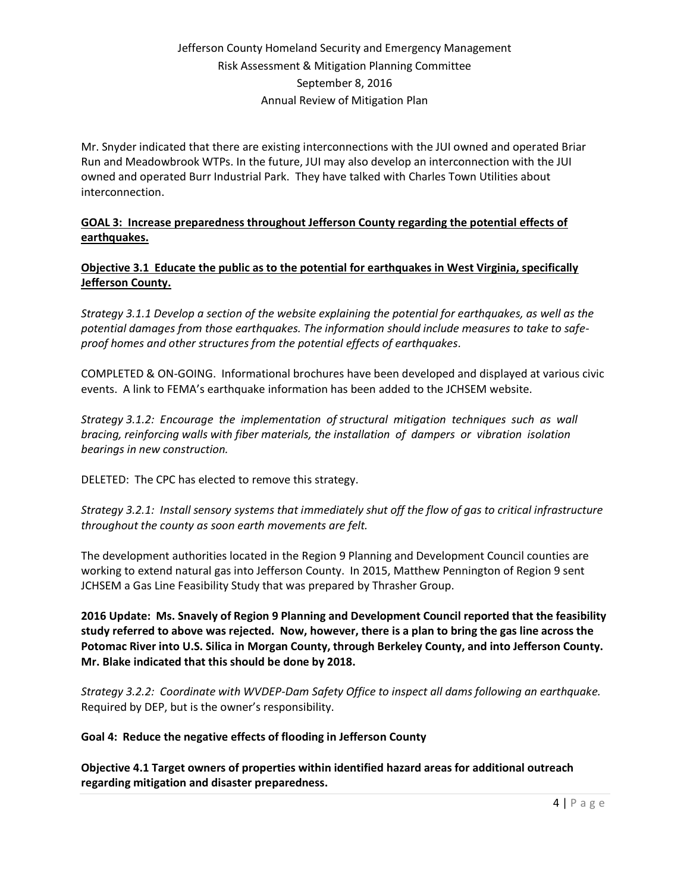Mr. Snyder indicated that there are existing interconnections with the JUI owned and operated Briar Run and Meadowbrook WTPs. In the future, JUI may also develop an interconnection with the JUI owned and operated Burr Industrial Park. They have talked with Charles Town Utilities about interconnection.

**GOAL 3: Increase preparedness throughout Jefferson County regarding the potential effects of earthquakes.**

### **Objective 3.1 Educate the public as to the potential for earthquakes in West Virginia, specifically Jefferson County.**

*Strategy 3.1.1 Develop a section of the website explaining the potential for earthquakes, as well as the potential damages from those earthquakes. The information should include measures to take to safeproof homes and other structures from the potential effects of earthquakes.*

COMPLETED & ON-GOING. Informational brochures have been developed and displayed at various civic events. A link to FEMA's earthquake information has been added to the JCHSEM website.

*Strategy 3.1.2: Encourage the implementation of structural mitigation techniques such as wall bracing, reinforcing walls with fiber materials, the installation of dampers or vibration isolation bearings in new construction.*

DELETED: The CPC has elected to remove this strategy.

*Strategy 3.2.1: Install sensory systems that immediately shut off the flow of gas to critical infrastructure throughout the county as soon earth movements are felt.*

The development authorities located in the Region 9 Planning and Development Council counties are working to extend natural gas into Jefferson County. In 2015, Matthew Pennington of Region 9 sent JCHSEM a Gas Line Feasibility Study that was prepared by Thrasher Group.

**2016 Update: Ms. Snavely of Region 9 Planning and Development Council reported that the feasibility study referred to above was rejected. Now, however, there is a plan to bring the gas line across the Potomac River into U.S. Silica in Morgan County, through Berkeley County, and into Jefferson County. Mr. Blake indicated that this should be done by 2018.**

*Strategy 3.2.2: Coordinate with WVDEP-Dam Safety Office to inspect all dams following an earthquake.* Required by DEP, but is the owner's responsibility.

**Goal 4: Reduce the negative effects of flooding in Jefferson County**

**Objective 4.1 Target owners of properties within identified hazard areas for additional outreach regarding mitigation and disaster preparedness.**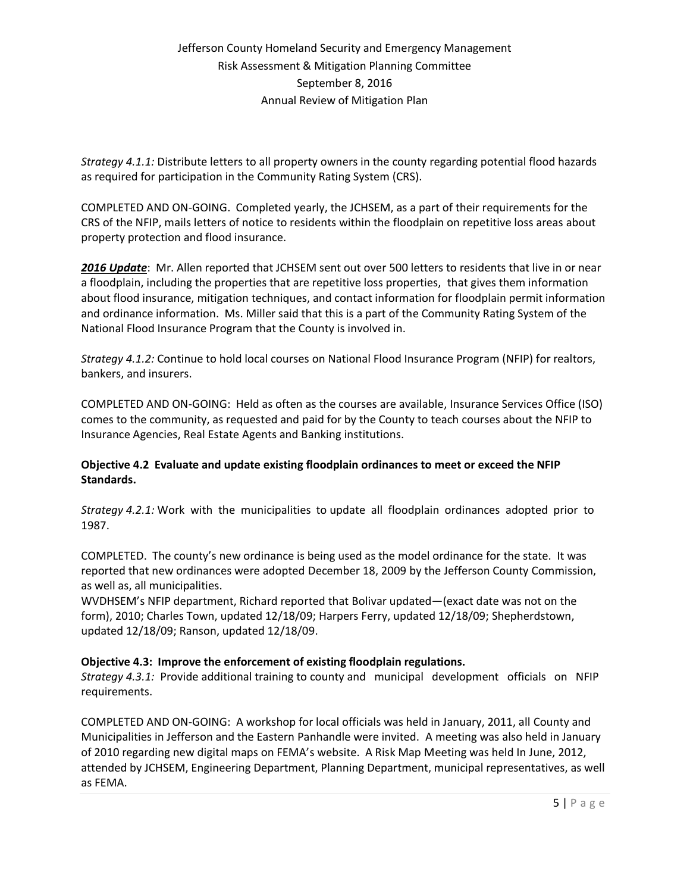*Strategy 4.1.1:* Distribute letters to all property owners in the county regarding potential flood hazards as required for participation in the Community Rating System (CRS).

COMPLETED AND ON-GOING. Completed yearly, the JCHSEM, as a part of their requirements for the CRS of the NFIP, mails letters of notice to residents within the floodplain on repetitive loss areas about property protection and flood insurance.

*2016 Update*: Mr. Allen reported that JCHSEM sent out over 500 letters to residents that live in or near a floodplain, including the properties that are repetitive loss properties, that gives them information about flood insurance, mitigation techniques, and contact information for floodplain permit information and ordinance information. Ms. Miller said that this is a part of the Community Rating System of the National Flood Insurance Program that the County is involved in.

*Strategy 4.1.2:* Continue to hold local courses on National Flood Insurance Program (NFIP) for realtors, bankers, and insurers.

COMPLETED AND ON-GOING: Held as often as the courses are available, Insurance Services Office (ISO) comes to the community, as requested and paid for by the County to teach courses about the NFIP to Insurance Agencies, Real Estate Agents and Banking institutions.

### **Objective 4.2 Evaluate and update existing floodplain ordinances to meet or exceed the NFIP Standards.**

*Strategy 4.2.1:* Work with the municipalities to update all floodplain ordinances adopted prior to 1987.

COMPLETED. The county's new ordinance is being used as the model ordinance for the state. It was reported that new ordinances were adopted December 18, 2009 by the Jefferson County Commission, as well as, all municipalities.

WVDHSEM's NFIP department, Richard reported that Bolivar updated—(exact date was not on the form), 2010; Charles Town, updated 12/18/09; Harpers Ferry, updated 12/18/09; Shepherdstown, updated 12/18/09; Ranson, updated 12/18/09.

### **Objective 4.3: Improve the enforcement of existing floodplain regulations.**

*Strategy 4.3.1:* Provide additional training to county and municipal development officials on NFIP requirements.

COMPLETED AND ON-GOING: A workshop for local officials was held in January, 2011, all County and Municipalities in Jefferson and the Eastern Panhandle were invited. A meeting was also held in January of 2010 regarding new digital maps on FEMA's website. A Risk Map Meeting was held In June, 2012, attended by JCHSEM, Engineering Department, Planning Department, municipal representatives, as well as FEMA.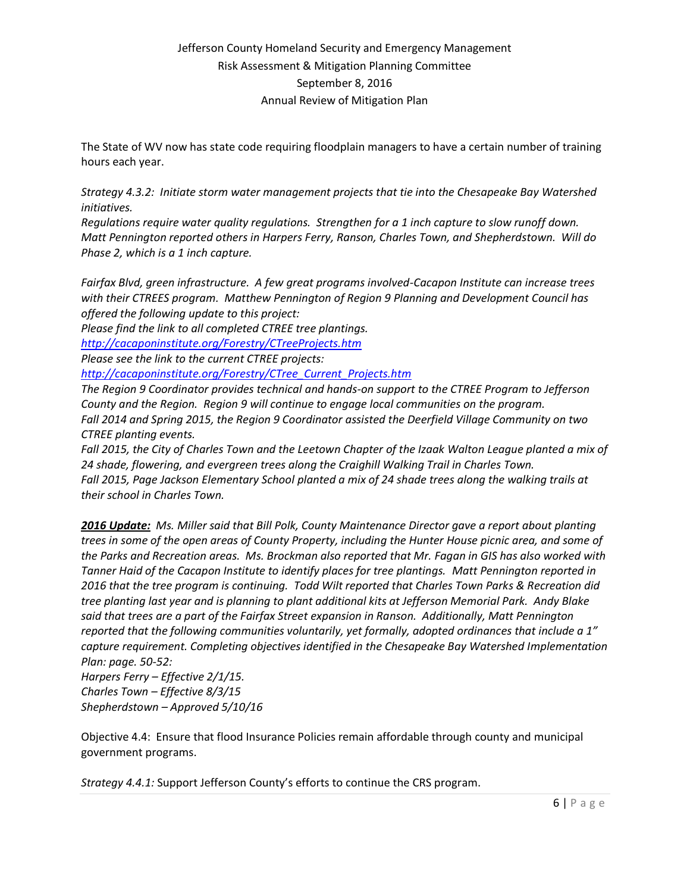The State of WV now has state code requiring floodplain managers to have a certain number of training hours each year.

*Strategy 4.3.2: Initiate storm water management projects that tie into the Chesapeake Bay Watershed initiatives.*

*Regulations require water quality regulations. Strengthen for a 1 inch capture to slow runoff down. Matt Pennington reported others in Harpers Ferry, Ranson, Charles Town, and Shepherdstown. Will do Phase 2, which is a 1 inch capture.* 

*Fairfax Blvd, green infrastructure. A few great programs involved-Cacapon Institute can increase trees with their CTREES program. Matthew Pennington of Region 9 Planning and Development Council has offered the following update to this project:*

*Please find the link to all completed CTREE tree plantings.* 

*<http://cacaponinstitute.org/Forestry/CTreeProjects.htm>*

*Please see the link to the current CTREE projects:* 

*[http://cacaponinstitute.org/Forestry/CTree\\_Current\\_Projects.htm](http://cacaponinstitute.org/Forestry/CTree_Current_Projects.htm)*

*The Region 9 Coordinator provides technical and hands-on support to the CTREE Program to Jefferson County and the Region. Region 9 will continue to engage local communities on the program. Fall 2014 and Spring 2015, the Region 9 Coordinator assisted the Deerfield Village Community on two CTREE planting events.*

*Fall 2015, the City of Charles Town and the Leetown Chapter of the Izaak Walton League planted a mix of 24 shade, flowering, and evergreen trees along the Craighill Walking Trail in Charles Town. Fall 2015, Page Jackson Elementary School planted a mix of 24 shade trees along the walking trails at their school in Charles Town.*

*2016 Update: Ms. Miller said that Bill Polk, County Maintenance Director gave a report about planting trees in some of the open areas of County Property, including the Hunter House picnic area, and some of the Parks and Recreation areas. Ms. Brockman also reported that Mr. Fagan in GIS has also worked with Tanner Haid of the Cacapon Institute to identify places for tree plantings. Matt Pennington reported in 2016 that the tree program is continuing. Todd Wilt reported that Charles Town Parks & Recreation did tree planting last year and is planning to plant additional kits at Jefferson Memorial Park. Andy Blake said that trees are a part of the Fairfax Street expansion in Ranson. Additionally, Matt Pennington reported that the following communities voluntarily, yet formally, adopted ordinances that include a 1" capture requirement. Completing objectives identified in the Chesapeake Bay Watershed Implementation Plan: page. 50-52:*

*Harpers Ferry – Effective 2/1/15. Charles Town – Effective 8/3/15 Shepherdstown – Approved 5/10/16*

Objective 4.4: Ensure that flood Insurance Policies remain affordable through county and municipal government programs.

*Strategy 4.4.1:* Support Jefferson County's efforts to continue the CRS program.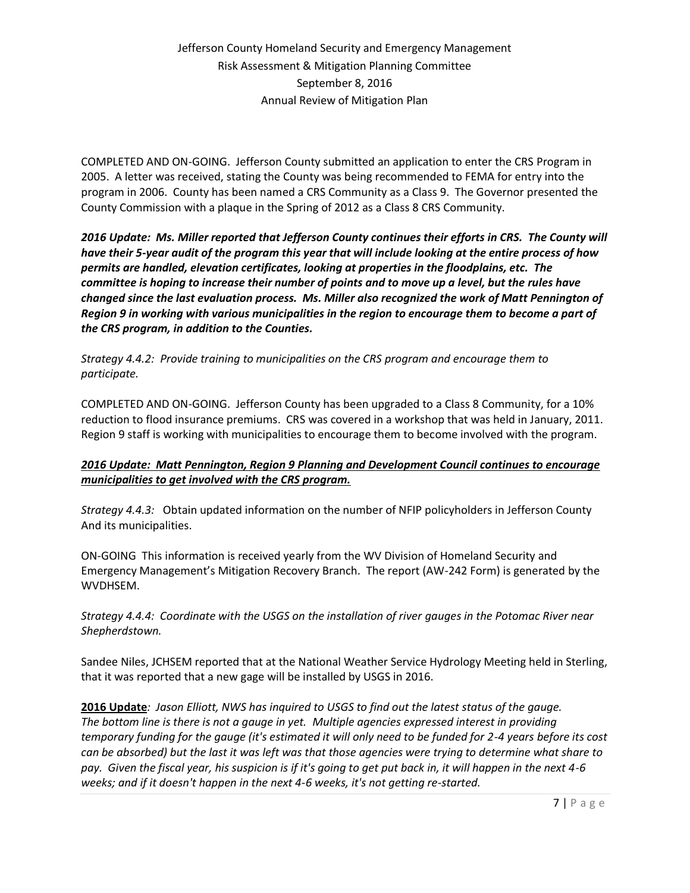COMPLETED AND ON-GOING. Jefferson County submitted an application to enter the CRS Program in 2005. A letter was received, stating the County was being recommended to FEMA for entry into the program in 2006. County has been named a CRS Community as a Class 9. The Governor presented the County Commission with a plaque in the Spring of 2012 as a Class 8 CRS Community.

*2016 Update: Ms. Miller reported that Jefferson County continues their efforts in CRS. The County will have their 5-year audit of the program this year that will include looking at the entire process of how permits are handled, elevation certificates, looking at properties in the floodplains, etc. The committee is hoping to increase their number of points and to move up a level, but the rules have changed since the last evaluation process. Ms. Miller also recognized the work of Matt Pennington of Region 9 in working with various municipalities in the region to encourage them to become a part of the CRS program, in addition to the Counties.*

*Strategy 4.4.2: Provide training to municipalities on the CRS program and encourage them to participate.* 

COMPLETED AND ON-GOING. Jefferson County has been upgraded to a Class 8 Community, for a 10% reduction to flood insurance premiums. CRS was covered in a workshop that was held in January, 2011. Region 9 staff is working with municipalities to encourage them to become involved with the program.

### *2016 Update: Matt Pennington, Region 9 Planning and Development Council continues to encourage municipalities to get involved with the CRS program.*

*Strategy 4.4.3:* Obtain updated information on the number of NFIP policyholders in Jefferson County And its municipalities.

ON-GOING This information is received yearly from the WV Division of Homeland Security and Emergency Management's Mitigation Recovery Branch. The report (AW-242 Form) is generated by the WVDHSEM.

*Strategy 4.4.4: Coordinate with the USGS on the installation of river gauges in the Potomac River near Shepherdstown.*

Sandee Niles, JCHSEM reported that at the National Weather Service Hydrology Meeting held in Sterling, that it was reported that a new gage will be installed by USGS in 2016.

**2016 Update***: Jason Elliott, NWS has inquired to USGS to find out the latest status of the gauge. The bottom line is there is not a gauge in yet. Multiple agencies expressed interest in providing temporary funding for the gauge (it's estimated it will only need to be funded for 2-4 years before its cost can be absorbed) but the last it was left was that those agencies were trying to determine what share to pay. Given the fiscal year, his suspicion is if it's going to get put back in, it will happen in the next 4-6 weeks; and if it doesn't happen in the next 4-6 weeks, it's not getting re-started.*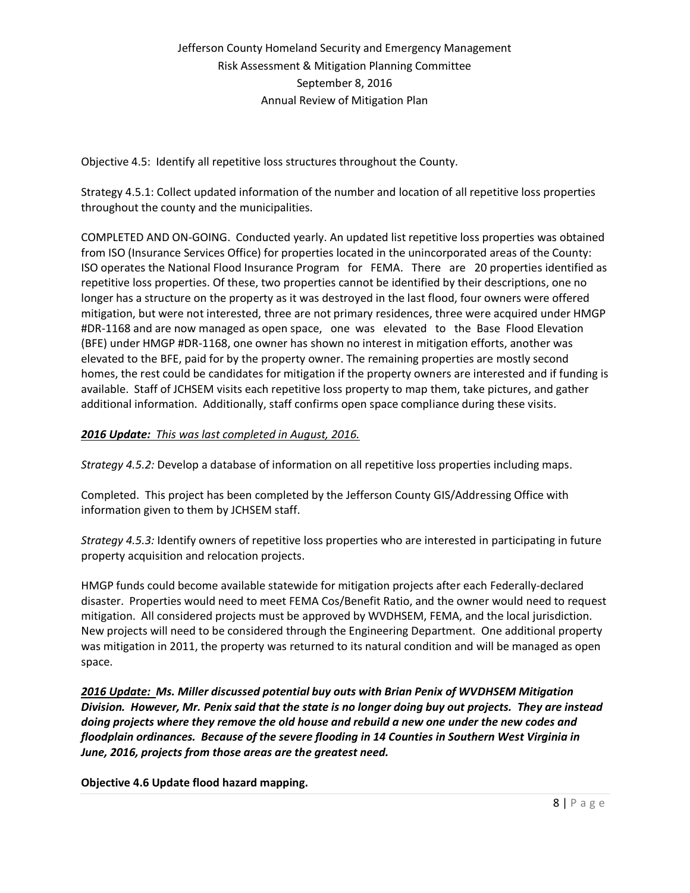Objective 4.5: Identify all repetitive loss structures throughout the County.

Strategy 4.5.1: Collect updated information of the number and location of all repetitive loss properties throughout the county and the municipalities.

COMPLETED AND ON-GOING. Conducted yearly. An updated list repetitive loss properties was obtained from ISO (Insurance Services Office) for properties located in the unincorporated areas of the County: ISO operates the National Flood Insurance Program for FEMA. There are 20 properties identified as repetitive loss properties. Of these, two properties cannot be identified by their descriptions, one no longer has a structure on the property as it was destroyed in the last flood, four owners were offered mitigation, but were not interested, three are not primary residences, three were acquired under HMGP #DR-1168 and are now managed as open space, one was elevated to the Base Flood Elevation (BFE) under HMGP #DR-1168, one owner has shown no interest in mitigation efforts, another was elevated to the BFE, paid for by the property owner. The remaining properties are mostly second homes, the rest could be candidates for mitigation if the property owners are interested and if funding is available. Staff of JCHSEM visits each repetitive loss property to map them, take pictures, and gather additional information. Additionally, staff confirms open space compliance during these visits.

#### *2016 Update: This was last completed in August, 2016.*

*Strategy 4.5.2:* Develop a database of information on all repetitive loss properties including maps.

Completed. This project has been completed by the Jefferson County GIS/Addressing Office with information given to them by JCHSEM staff.

*Strategy 4.5.3:* Identify owners of repetitive loss properties who are interested in participating in future property acquisition and relocation projects.

HMGP funds could become available statewide for mitigation projects after each Federally-declared disaster. Properties would need to meet FEMA Cos/Benefit Ratio, and the owner would need to request mitigation. All considered projects must be approved by WVDHSEM, FEMA, and the local jurisdiction. New projects will need to be considered through the Engineering Department. One additional property was mitigation in 2011, the property was returned to its natural condition and will be managed as open space.

*2016 Update: Ms. Miller discussed potential buy outs with Brian Penix of WVDHSEM Mitigation Division. However, Mr. Penix said that the state is no longer doing buy out projects. They are instead doing projects where they remove the old house and rebuild a new one under the new codes and floodplain ordinances. Because of the severe flooding in 14 Counties in Southern West Virginia in June, 2016, projects from those areas are the greatest need.*

**Objective 4.6 Update flood hazard mapping.**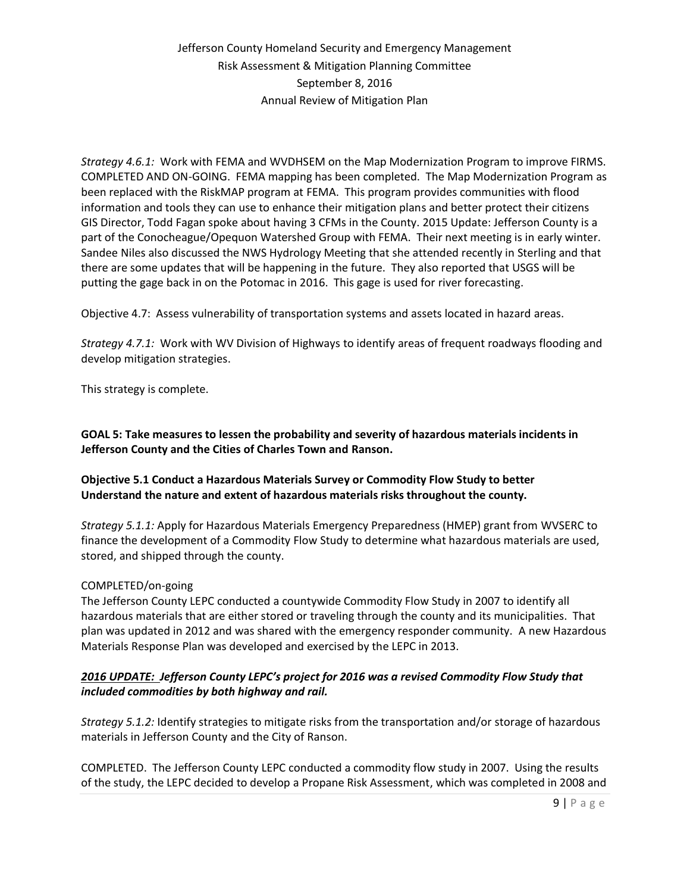*Strategy 4.6.1:* Work with FEMA and WVDHSEM on the Map Modernization Program to improve FIRMS. COMPLETED AND ON-GOING. FEMA mapping has been completed. The Map Modernization Program as been replaced with the RiskMAP program at FEMA. This program provides communities with flood information and tools they can use to enhance their mitigation plans and better protect their citizens GIS Director, Todd Fagan spoke about having 3 CFMs in the County. 2015 Update: Jefferson County is a part of the Conocheague/Opequon Watershed Group with FEMA. Their next meeting is in early winter. Sandee Niles also discussed the NWS Hydrology Meeting that she attended recently in Sterling and that there are some updates that will be happening in the future. They also reported that USGS will be putting the gage back in on the Potomac in 2016. This gage is used for river forecasting.

Objective 4.7: Assess vulnerability of transportation systems and assets located in hazard areas.

*Strategy 4.7.1:* Work with WV Division of Highways to identify areas of frequent roadways flooding and develop mitigation strategies.

This strategy is complete.

**GOAL 5: Take measures to lessen the probability and severity of hazardous materials incidents in Jefferson County and the Cities of Charles Town and Ranson.**

#### **Objective 5.1 Conduct a Hazardous Materials Survey or Commodity Flow Study to better Understand the nature and extent of hazardous materials risks throughout the county.**

*Strategy 5.1.1:* Apply for Hazardous Materials Emergency Preparedness (HMEP) grant from WVSERC to finance the development of a Commodity Flow Study to determine what hazardous materials are used, stored, and shipped through the county.

#### COMPLETED/on-going

The Jefferson County LEPC conducted a countywide Commodity Flow Study in 2007 to identify all hazardous materials that are either stored or traveling through the county and its municipalities. That plan was updated in 2012 and was shared with the emergency responder community. A new Hazardous Materials Response Plan was developed and exercised by the LEPC in 2013.

#### *2016 UPDATE: Jefferson County LEPC's project for 2016 was a revised Commodity Flow Study that included commodities by both highway and rail.*

*Strategy 5.1.2:* Identify strategies to mitigate risks from the transportation and/or storage of hazardous materials in Jefferson County and the City of Ranson.

COMPLETED. The Jefferson County LEPC conducted a commodity flow study in 2007. Using the results of the study, the LEPC decided to develop a Propane Risk Assessment, which was completed in 2008 and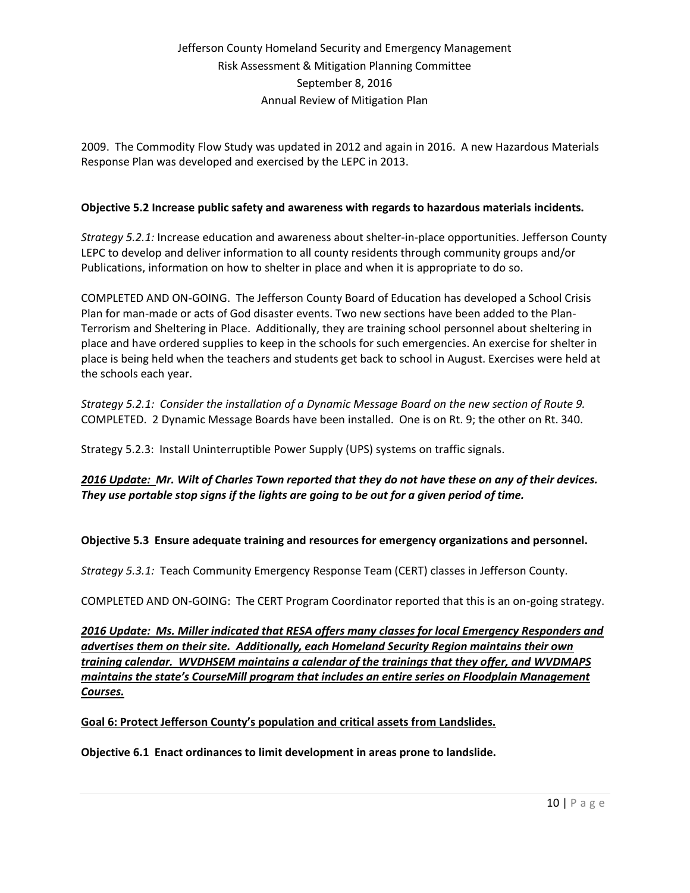2009. The Commodity Flow Study was updated in 2012 and again in 2016. A new Hazardous Materials Response Plan was developed and exercised by the LEPC in 2013.

### **Objective 5.2 Increase public safety and awareness with regards to hazardous materials incidents.**

*Strategy 5.2.1:* Increase education and awareness about shelter-in-place opportunities. Jefferson County LEPC to develop and deliver information to all county residents through community groups and/or Publications, information on how to shelter in place and when it is appropriate to do so.

COMPLETED AND ON-GOING. The Jefferson County Board of Education has developed a School Crisis Plan for man-made or acts of God disaster events. Two new sections have been added to the Plan-Terrorism and Sheltering in Place. Additionally, they are training school personnel about sheltering in place and have ordered supplies to keep in the schools for such emergencies. An exercise for shelter in place is being held when the teachers and students get back to school in August. Exercises were held at the schools each year.

*Strategy 5.2.1: Consider the installation of a Dynamic Message Board on the new section of Route 9.* COMPLETED. 2 Dynamic Message Boards have been installed. One is on Rt. 9; the other on Rt. 340.

Strategy 5.2.3: Install Uninterruptible Power Supply (UPS) systems on traffic signals.

*2016 Update: Mr. Wilt of Charles Town reported that they do not have these on any of their devices. They use portable stop signs if the lights are going to be out for a given period of time.*

### **Objective 5.3 Ensure adequate training and resources for emergency organizations and personnel.**

*Strategy 5.3.1:* Teach Community Emergency Response Team (CERT) classes in Jefferson County.

COMPLETED AND ON-GOING: The CERT Program Coordinator reported that this is an on-going strategy.

*2016 Update: Ms. Miller indicated that RESA offers many classes for local Emergency Responders and advertises them on their site. Additionally, each Homeland Security Region maintains their own training calendar. WVDHSEM maintains a calendar of the trainings that they offer, and WVDMAPS maintains the state's CourseMill program that includes an entire series on Floodplain Management Courses.* 

### **Goal 6: Protect Jefferson County's population and critical assets from Landslides.**

**Objective 6.1 Enact ordinances to limit development in areas prone to landslide.**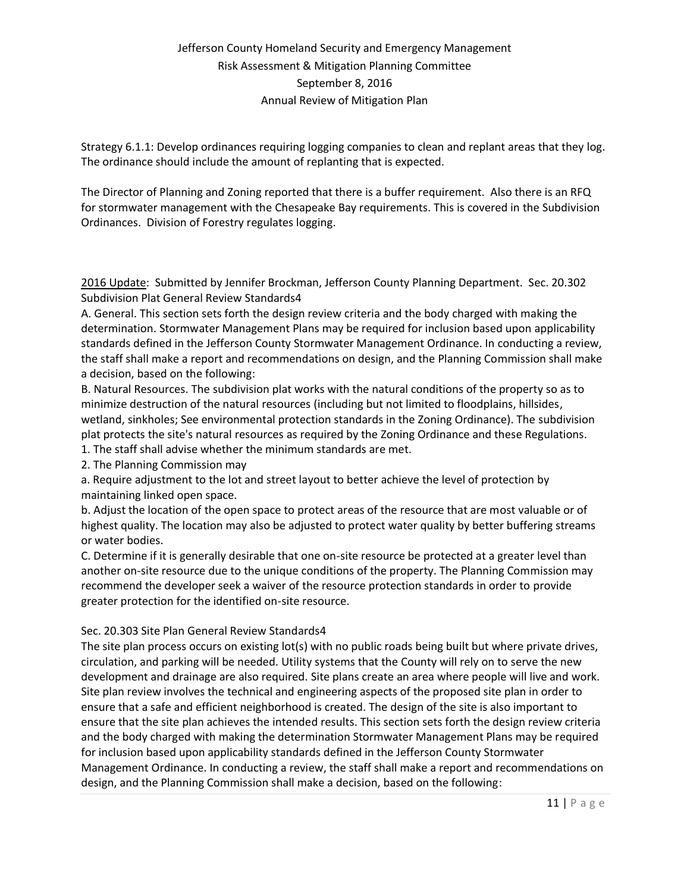Strategy 6.1.1: Develop ordinances requiring logging companies to clean and replant areas that they log. The ordinance should include the amount of replanting that is expected.

The Director of Planning and Zoning reported that there is a buffer requirement. Also there is an RFQ for stormwater management with the Chesapeake Bay requirements. This is covered in the Subdivision Ordinances. Division of Forestry regulates logging.

2016 Update: Submitted by Jennifer Brockman, Jefferson County Planning Department. Sec. 20.302 Subdivision Plat General Review Standards4

A. General. This section sets forth the design review criteria and the body charged with making the determination. Stormwater Management Plans may be required for inclusion based upon applicability standards defined in the Jefferson County Stormwater Management Ordinance. In conducting a review, the staff shall make a report and recommendations on design, and the Planning Commission shall make a decision, based on the following:

B. Natural Resources. The subdivision plat works with the natural conditions of the property so as to minimize destruction of the natural resources (including but not limited to floodplains, hillsides, wetland, sinkholes; See environmental protection standards in the Zoning Ordinance). The subdivision plat protects the site's natural resources as required by the Zoning Ordinance and these Regulations. 1. The staff shall advise whether the minimum standards are met.

2. The Planning Commission may

a. Require adjustment to the lot and street layout to better achieve the level of protection by maintaining linked open space.

b. Adjust the location of the open space to protect areas of the resource that are most valuable or of highest quality. The location may also be adjusted to protect water quality by better buffering streams or water bodies.

C. Determine if it is generally desirable that one on-site resource be protected at a greater level than another on-site resource due to the unique conditions of the property. The Planning Commission may recommend the developer seek a waiver of the resource protection standards in order to provide greater protection for the identified on-site resource.

### Sec. 20.303 Site Plan General Review Standards4

The site plan process occurs on existing lot(s) with no public roads being built but where private drives, circulation, and parking will be needed. Utility systems that the County will rely on to serve the new development and drainage are also required. Site plans create an area where people will live and work. Site plan review involves the technical and engineering aspects of the proposed site plan in order to ensure that a safe and efficient neighborhood is created. The design of the site is also important to ensure that the site plan achieves the intended results. This section sets forth the design review criteria and the body charged with making the determination Stormwater Management Plans may be required for inclusion based upon applicability standards defined in the Jefferson County Stormwater Management Ordinance. In conducting a review, the staff shall make a report and recommendations on design, and the Planning Commission shall make a decision, based on the following: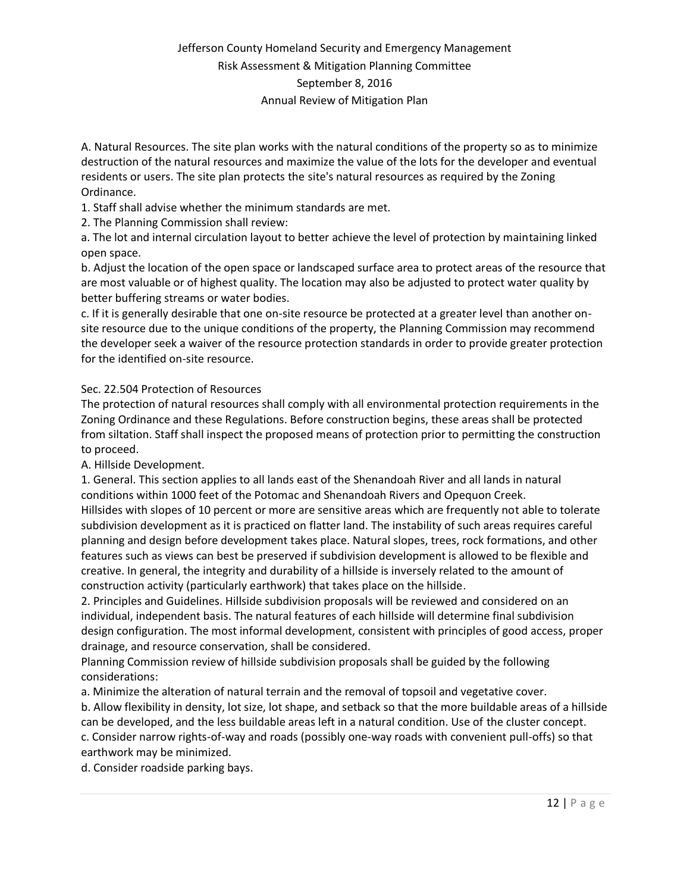A. Natural Resources. The site plan works with the natural conditions of the property so as to minimize destruction of the natural resources and maximize the value of the lots for the developer and eventual residents or users. The site plan protects the site's natural resources as required by the Zoning Ordinance.

1. Staff shall advise whether the minimum standards are met.

2. The Planning Commission shall review:

a. The lot and internal circulation layout to better achieve the level of protection by maintaining linked open space.

b. Adjust the location of the open space or landscaped surface area to protect areas of the resource that are most valuable or of highest quality. The location may also be adjusted to protect water quality by better buffering streams or water bodies.

c. If it is generally desirable that one on-site resource be protected at a greater level than another onsite resource due to the unique conditions of the property, the Planning Commission may recommend the developer seek a waiver of the resource protection standards in order to provide greater protection for the identified on-site resource.

#### Sec. 22.504 Protection of Resources

The protection of natural resources shall comply with all environmental protection requirements in the Zoning Ordinance and these Regulations. Before construction begins, these areas shall be protected from siltation. Staff shall inspect the proposed means of protection prior to permitting the construction to proceed.

A. Hillside Development.

1. General. This section applies to all lands east of the Shenandoah River and all lands in natural conditions within 1000 feet of the Potomac and Shenandoah Rivers and Opequon Creek. Hillsides with slopes of 10 percent or more are sensitive areas which are frequently not able to tolerate subdivision development as it is practiced on flatter land. The instability of such areas requires careful planning and design before development takes place. Natural slopes, trees, rock formations, and other features such as views can best be preserved if subdivision development is allowed to be flexible and creative. In general, the integrity and durability of a hillside is inversely related to the amount of construction activity (particularly earthwork) that takes place on the hillside.

2. Principles and Guidelines. Hillside subdivision proposals will be reviewed and considered on an individual, independent basis. The natural features of each hillside will determine final subdivision design configuration. The most informal development, consistent with principles of good access, proper drainage, and resource conservation, shall be considered.

Planning Commission review of hillside subdivision proposals shall be guided by the following considerations:

a. Minimize the alteration of natural terrain and the removal of topsoil and vegetative cover.

b. Allow flexibility in density, lot size, lot shape, and setback so that the more buildable areas of a hillside can be developed, and the less buildable areas left in a natural condition. Use of the cluster concept. c. Consider narrow rights-of-way and roads (possibly one-way roads with convenient pull-offs) so that

earthwork may be minimized.

d. Consider roadside parking bays.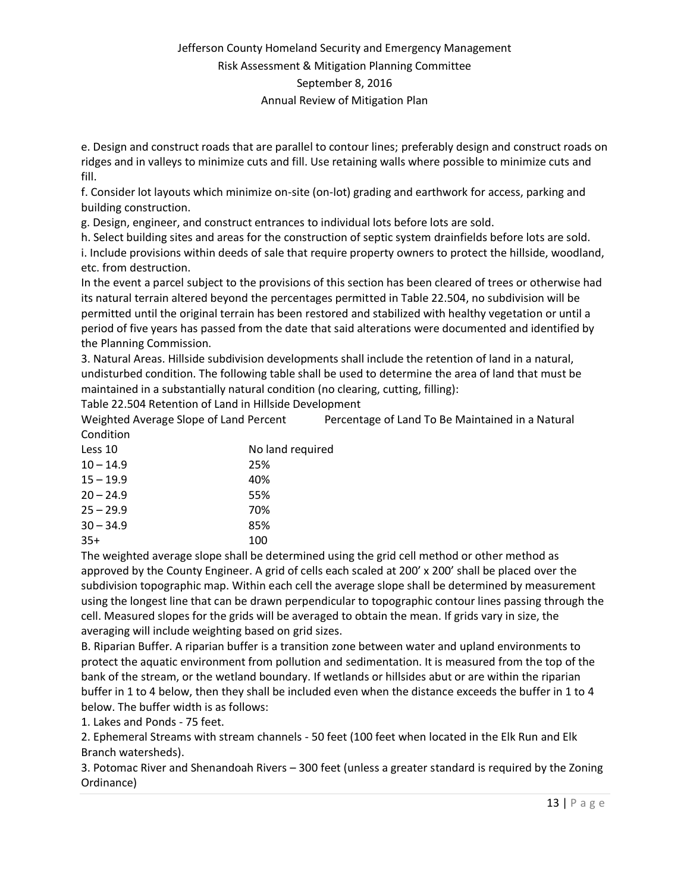e. Design and construct roads that are parallel to contour lines; preferably design and construct roads on ridges and in valleys to minimize cuts and fill. Use retaining walls where possible to minimize cuts and fill.

f. Consider lot layouts which minimize on-site (on-lot) grading and earthwork for access, parking and building construction.

g. Design, engineer, and construct entrances to individual lots before lots are sold.

h. Select building sites and areas for the construction of septic system drainfields before lots are sold. i. Include provisions within deeds of sale that require property owners to protect the hillside, woodland, etc. from destruction.

In the event a parcel subject to the provisions of this section has been cleared of trees or otherwise had its natural terrain altered beyond the percentages permitted in Table 22.504, no subdivision will be permitted until the original terrain has been restored and stabilized with healthy vegetation or until a period of five years has passed from the date that said alterations were documented and identified by the Planning Commission.

3. Natural Areas. Hillside subdivision developments shall include the retention of land in a natural, undisturbed condition. The following table shall be used to determine the area of land that must be maintained in a substantially natural condition (no clearing, cutting, filling):

Table 22.504 Retention of Land in Hillside Development

Weighted Average Slope of Land Percent Percentage of Land To Be Maintained in a Natural Condition

| Less 10     | No land required |
|-------------|------------------|
| $10 - 14.9$ | 25%              |
| $15 - 19.9$ | 40%              |
| $20 - 24.9$ | 55%              |
| $25 - 29.9$ | 70%              |
| $30 - 34.9$ | 85%              |
| $35+$       | 100              |

The weighted average slope shall be determined using the grid cell method or other method as approved by the County Engineer. A grid of cells each scaled at 200' x 200' shall be placed over the subdivision topographic map. Within each cell the average slope shall be determined by measurement using the longest line that can be drawn perpendicular to topographic contour lines passing through the cell. Measured slopes for the grids will be averaged to obtain the mean. If grids vary in size, the averaging will include weighting based on grid sizes.

B. Riparian Buffer. A riparian buffer is a transition zone between water and upland environments to protect the aquatic environment from pollution and sedimentation. It is measured from the top of the bank of the stream, or the wetland boundary. If wetlands or hillsides abut or are within the riparian buffer in 1 to 4 below, then they shall be included even when the distance exceeds the buffer in 1 to 4 below. The buffer width is as follows:

1. Lakes and Ponds - 75 feet.

2. Ephemeral Streams with stream channels - 50 feet (100 feet when located in the Elk Run and Elk Branch watersheds).

3. Potomac River and Shenandoah Rivers – 300 feet (unless a greater standard is required by the Zoning Ordinance)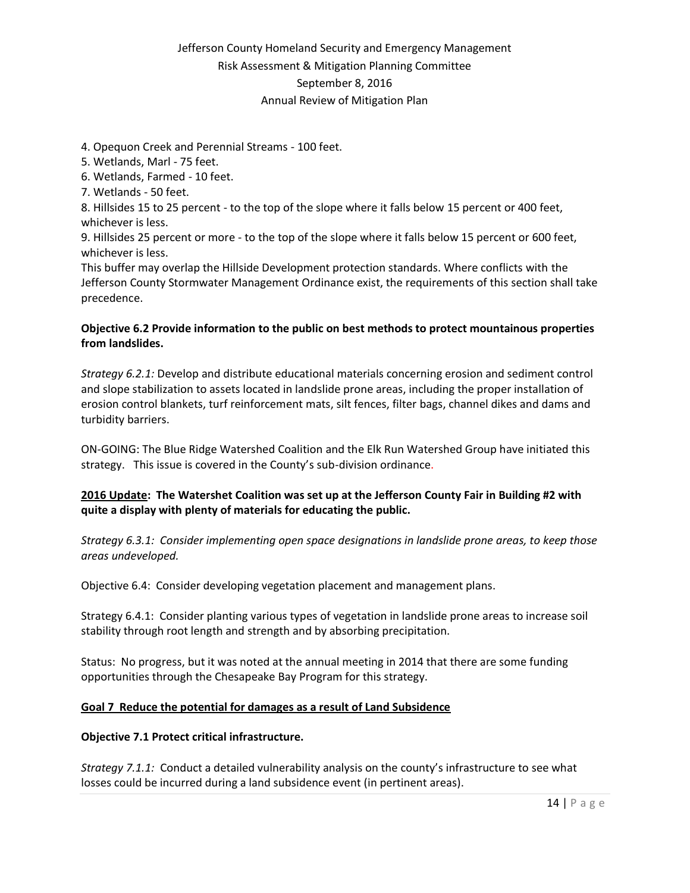#### 4. Opequon Creek and Perennial Streams - 100 feet.

5. Wetlands, Marl - 75 feet.

6. Wetlands, Farmed - 10 feet.

7. Wetlands - 50 feet.

8. Hillsides 15 to 25 percent - to the top of the slope where it falls below 15 percent or 400 feet, whichever is less.

9. Hillsides 25 percent or more - to the top of the slope where it falls below 15 percent or 600 feet, whichever is less.

This buffer may overlap the Hillside Development protection standards. Where conflicts with the Jefferson County Stormwater Management Ordinance exist, the requirements of this section shall take precedence.

#### **Objective 6.2 Provide information to the public on best methods to protect mountainous properties from landslides.**

*Strategy 6.2.1:* Develop and distribute educational materials concerning erosion and sediment control and slope stabilization to assets located in landslide prone areas, including the proper installation of erosion control blankets, turf reinforcement mats, silt fences, filter bags, channel dikes and dams and turbidity barriers.

ON-GOING: The Blue Ridge Watershed Coalition and the Elk Run Watershed Group have initiated this strategy. This issue is covered in the County's sub-division ordinance.

### **2016 Update: The Watershet Coalition was set up at the Jefferson County Fair in Building #2 with quite a display with plenty of materials for educating the public.**

*Strategy 6.3.1: Consider implementing open space designations in landslide prone areas, to keep those areas undeveloped.*

Objective 6.4: Consider developing vegetation placement and management plans.

Strategy 6.4.1: Consider planting various types of vegetation in landslide prone areas to increase soil stability through root length and strength and by absorbing precipitation.

Status: No progress, but it was noted at the annual meeting in 2014 that there are some funding opportunities through the Chesapeake Bay Program for this strategy.

#### **Goal 7 Reduce the potential for damages as a result of Land Subsidence**

#### **Objective 7.1 Protect critical infrastructure.**

*Strategy 7.1.1:* Conduct a detailed vulnerability analysis on the county's infrastructure to see what losses could be incurred during a land subsidence event (in pertinent areas).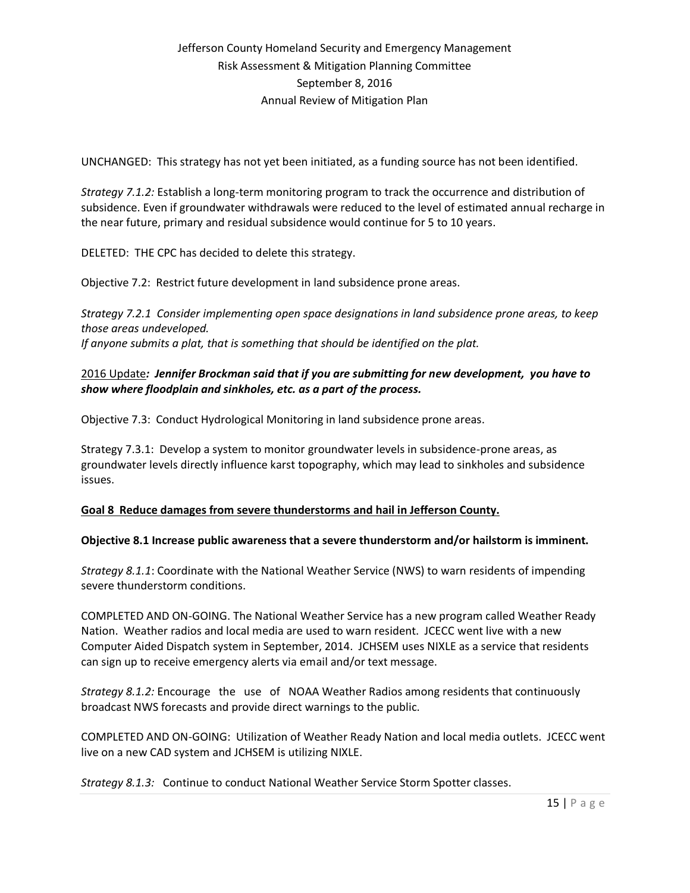UNCHANGED: This strategy has not yet been initiated, as a funding source has not been identified.

*Strategy 7.1.2:* Establish a long-term monitoring program to track the occurrence and distribution of subsidence. Even if groundwater withdrawals were reduced to the level of estimated annual recharge in the near future, primary and residual subsidence would continue for 5 to 10 years.

DELETED: THE CPC has decided to delete this strategy.

Objective 7.2: Restrict future development in land subsidence prone areas.

*Strategy 7.2.1 Consider implementing open space designations in land subsidence prone areas, to keep those areas undeveloped. If anyone submits a plat, that is something that should be identified on the plat.*

### 2016 Update*: Jennifer Brockman said that if you are submitting for new development, you have to show where floodplain and sinkholes, etc. as a part of the process.*

Objective 7.3: Conduct Hydrological Monitoring in land subsidence prone areas.

Strategy 7.3.1: Develop a system to monitor groundwater levels in subsidence-prone areas, as groundwater levels directly influence karst topography, which may lead to sinkholes and subsidence issues.

### **Goal 8 Reduce damages from severe thunderstorms and hail in Jefferson County.**

#### **Objective 8.1 Increase public awareness that a severe thunderstorm and/or hailstorm is imminent.**

*Strategy 8.1.1*: Coordinate with the National Weather Service (NWS) to warn residents of impending severe thunderstorm conditions.

COMPLETED AND ON-GOING. The National Weather Service has a new program called Weather Ready Nation. Weather radios and local media are used to warn resident. JCECC went live with a new Computer Aided Dispatch system in September, 2014. JCHSEM uses NIXLE as a service that residents can sign up to receive emergency alerts via email and/or text message.

*Strategy 8.1.2:* Encourage the use of NOAA Weather Radios among residents that continuously broadcast NWS forecasts and provide direct warnings to the public.

COMPLETED AND ON-GOING: Utilization of Weather Ready Nation and local media outlets. JCECC went live on a new CAD system and JCHSEM is utilizing NIXLE.

*Strategy 8.1.3:* Continue to conduct National Weather Service Storm Spotter classes.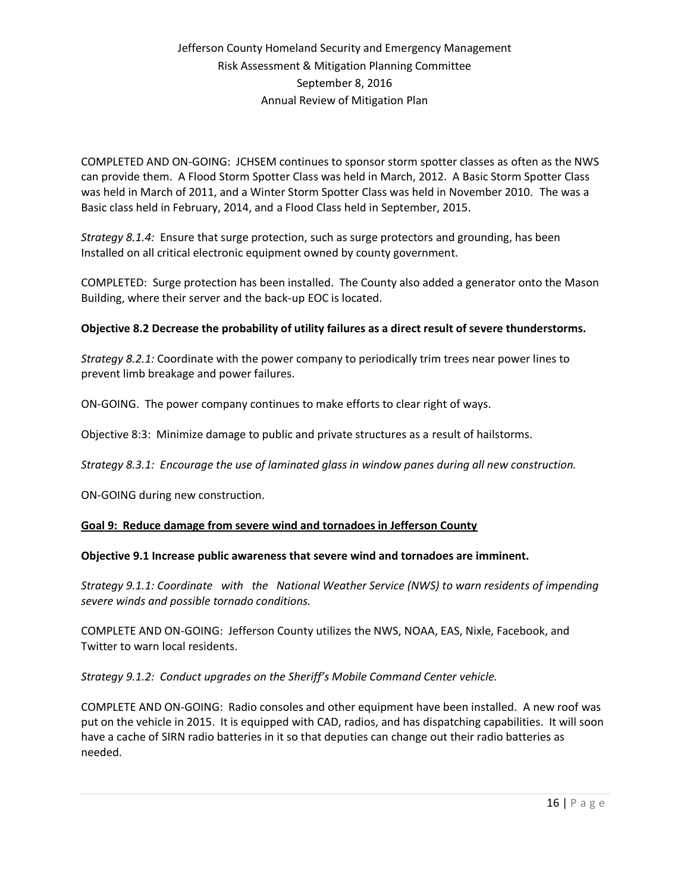COMPLETED AND ON-GOING: JCHSEM continues to sponsor storm spotter classes as often as the NWS can provide them. A Flood Storm Spotter Class was held in March, 2012. A Basic Storm Spotter Class was held in March of 2011, and a Winter Storm Spotter Class was held in November 2010. The was a Basic class held in February, 2014, and a Flood Class held in September, 2015.

*Strategy 8.1.4:* Ensure that surge protection, such as surge protectors and grounding, has been Installed on all critical electronic equipment owned by county government.

COMPLETED: Surge protection has been installed. The County also added a generator onto the Mason Building, where their server and the back-up EOC is located.

#### **Objective 8.2 Decrease the probability of utility failures as a direct result of severe thunderstorms.**

*Strategy 8.2.1:* Coordinate with the power company to periodically trim trees near power lines to prevent limb breakage and power failures.

ON-GOING. The power company continues to make efforts to clear right of ways.

Objective 8:3: Minimize damage to public and private structures as a result of hailstorms.

*Strategy 8.3.1: Encourage the use of laminated glass in window panes during all new construction.*

ON-GOING during new construction.

#### **Goal 9: Reduce damage from severe wind and tornadoes in Jefferson County**

#### **Objective 9.1 Increase public awareness that severe wind and tornadoes are imminent.**

*Strategy 9.1.1: Coordinate with the National Weather Service (NWS) to warn residents of impending severe winds and possible tornado conditions.*

COMPLETE AND ON-GOING: Jefferson County utilizes the NWS, NOAA, EAS, Nixle, Facebook, and Twitter to warn local residents.

*Strategy 9.1.2: Conduct upgrades on the Sheriff's Mobile Command Center vehicle.*

COMPLETE AND ON-GOING: Radio consoles and other equipment have been installed. A new roof was put on the vehicle in 2015. It is equipped with CAD, radios, and has dispatching capabilities. It will soon have a cache of SIRN radio batteries in it so that deputies can change out their radio batteries as needed.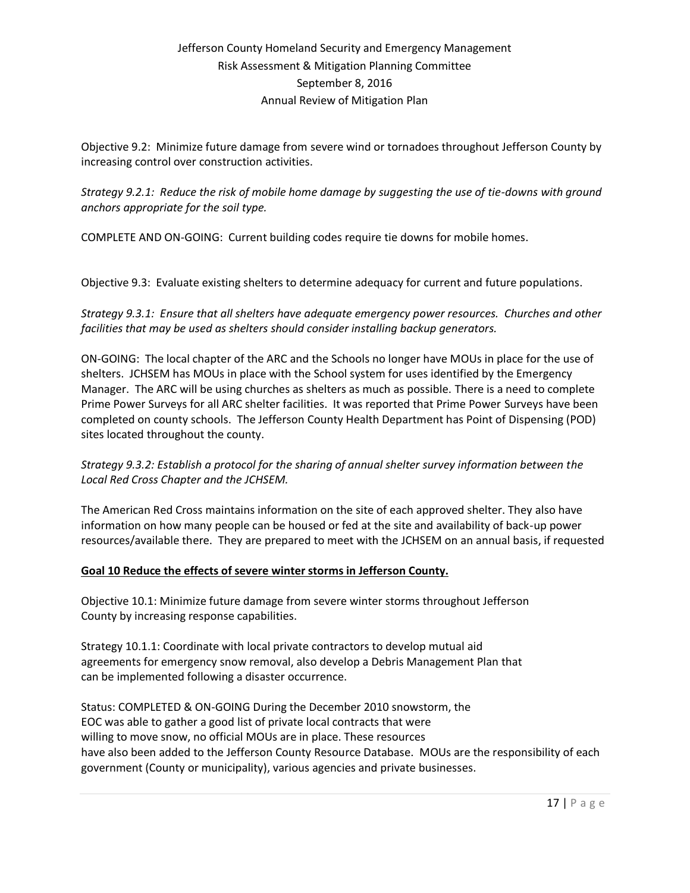Objective 9.2: Minimize future damage from severe wind or tornadoes throughout Jefferson County by increasing control over construction activities.

*Strategy 9.2.1: Reduce the risk of mobile home damage by suggesting the use of tie-downs with ground anchors appropriate for the soil type.*

COMPLETE AND ON-GOING: Current building codes require tie downs for mobile homes.

Objective 9.3: Evaluate existing shelters to determine adequacy for current and future populations.

*Strategy 9.3.1: Ensure that all shelters have adequate emergency power resources. Churches and other facilities that may be used as shelters should consider installing backup generators.*

ON-GOING: The local chapter of the ARC and the Schools no longer have MOUs in place for the use of shelters. JCHSEM has MOUs in place with the School system for uses identified by the Emergency Manager. The ARC will be using churches as shelters as much as possible. There is a need to complete Prime Power Surveys for all ARC shelter facilities. It was reported that Prime Power Surveys have been completed on county schools. The Jefferson County Health Department has Point of Dispensing (POD) sites located throughout the county.

### *Strategy 9.3.2: Establish a protocol for the sharing of annual shelter survey information between the Local Red Cross Chapter and the JCHSEM.*

The American Red Cross maintains information on the site of each approved shelter. They also have information on how many people can be housed or fed at the site and availability of back-up power resources/available there. They are prepared to meet with the JCHSEM on an annual basis, if requested

### **Goal 10 Reduce the effects of severe winter storms in Jefferson County.**

Objective 10.1: Minimize future damage from severe winter storms throughout Jefferson County by increasing response capabilities.

Strategy 10.1.1: Coordinate with local private contractors to develop mutual aid agreements for emergency snow removal, also develop a Debris Management Plan that can be implemented following a disaster occurrence.

Status: COMPLETED & ON-GOING During the December 2010 snowstorm, the EOC was able to gather a good list of private local contracts that were willing to move snow, no official MOUs are in place. These resources have also been added to the Jefferson County Resource Database. MOUs are the responsibility of each government (County or municipality), various agencies and private businesses.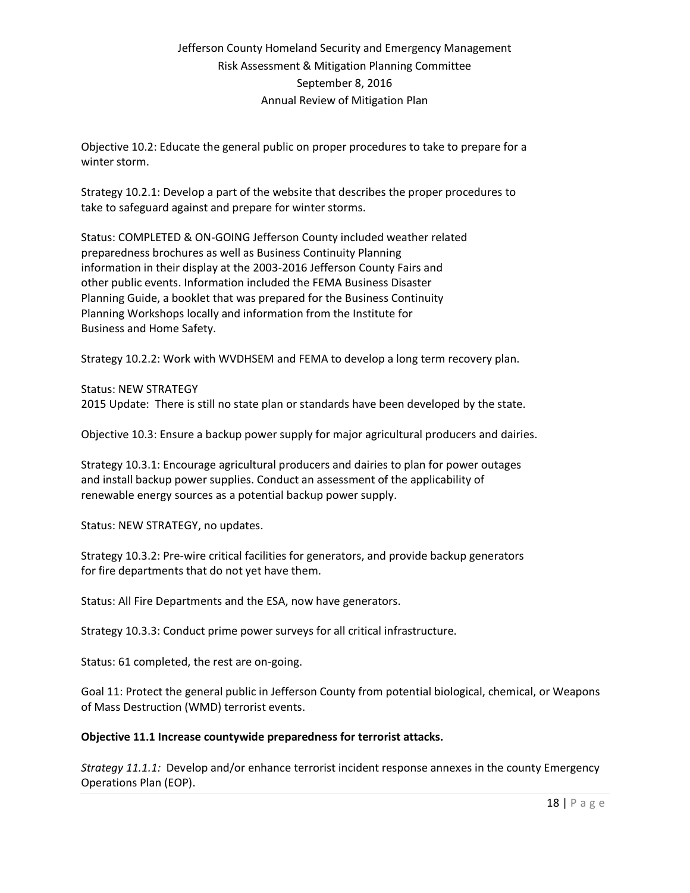Objective 10.2: Educate the general public on proper procedures to take to prepare for a winter storm.

Strategy 10.2.1: Develop a part of the website that describes the proper procedures to take to safeguard against and prepare for winter storms.

Status: COMPLETED & ON-GOING Jefferson County included weather related preparedness brochures as well as Business Continuity Planning information in their display at the 2003-2016 Jefferson County Fairs and other public events. Information included the FEMA Business Disaster Planning Guide, a booklet that was prepared for the Business Continuity Planning Workshops locally and information from the Institute for Business and Home Safety.

Strategy 10.2.2: Work with WVDHSEM and FEMA to develop a long term recovery plan.

Status: NEW STRATEGY 2015 Update: There is still no state plan or standards have been developed by the state.

Objective 10.3: Ensure a backup power supply for major agricultural producers and dairies.

Strategy 10.3.1: Encourage agricultural producers and dairies to plan for power outages and install backup power supplies. Conduct an assessment of the applicability of renewable energy sources as a potential backup power supply.

Status: NEW STRATEGY, no updates.

Strategy 10.3.2: Pre-wire critical facilities for generators, and provide backup generators for fire departments that do not yet have them.

Status: All Fire Departments and the ESA, now have generators.

Strategy 10.3.3: Conduct prime power surveys for all critical infrastructure.

Status: 61 completed, the rest are on-going.

Goal 11: Protect the general public in Jefferson County from potential biological, chemical, or Weapons of Mass Destruction (WMD) terrorist events.

#### **Objective 11.1 Increase countywide preparedness for terrorist attacks.**

*Strategy 11.1.1:* Develop and/or enhance terrorist incident response annexes in the county Emergency Operations Plan (EOP).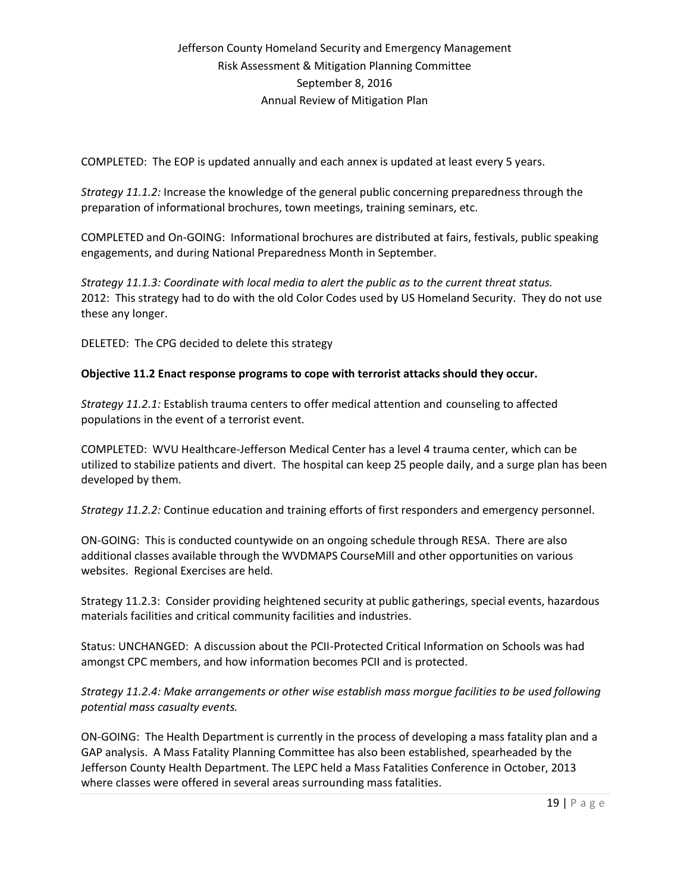COMPLETED: The EOP is updated annually and each annex is updated at least every 5 years.

*Strategy 11.1.2:* Increase the knowledge of the general public concerning preparedness through the preparation of informational brochures, town meetings, training seminars, etc.

COMPLETED and On-GOING: Informational brochures are distributed at fairs, festivals, public speaking engagements, and during National Preparedness Month in September.

*Strategy 11.1.3: Coordinate with local media to alert the public as to the current threat status.* 2012: This strategy had to do with the old Color Codes used by US Homeland Security. They do not use these any longer.

DELETED: The CPG decided to delete this strategy

#### **Objective 11.2 Enact response programs to cope with terrorist attacks should they occur.**

*Strategy 11.2.1:* Establish trauma centers to offer medical attention and counseling to affected populations in the event of a terrorist event.

COMPLETED: WVU Healthcare-Jefferson Medical Center has a level 4 trauma center, which can be utilized to stabilize patients and divert. The hospital can keep 25 people daily, and a surge plan has been developed by them.

*Strategy 11.2.2:* Continue education and training efforts of first responders and emergency personnel.

ON-GOING: This is conducted countywide on an ongoing schedule through RESA. There are also additional classes available through the WVDMAPS CourseMill and other opportunities on various websites. Regional Exercises are held.

Strategy 11.2.3: Consider providing heightened security at public gatherings, special events, hazardous materials facilities and critical community facilities and industries.

Status: UNCHANGED: A discussion about the PCII-Protected Critical Information on Schools was had amongst CPC members, and how information becomes PCII and is protected.

*Strategy 11.2.4: Make arrangements or other wise establish mass morgue facilities to be used following potential mass casualty events.* 

ON-GOING: The Health Department is currently in the process of developing a mass fatality plan and a GAP analysis. A Mass Fatality Planning Committee has also been established, spearheaded by the Jefferson County Health Department. The LEPC held a Mass Fatalities Conference in October, 2013 where classes were offered in several areas surrounding mass fatalities.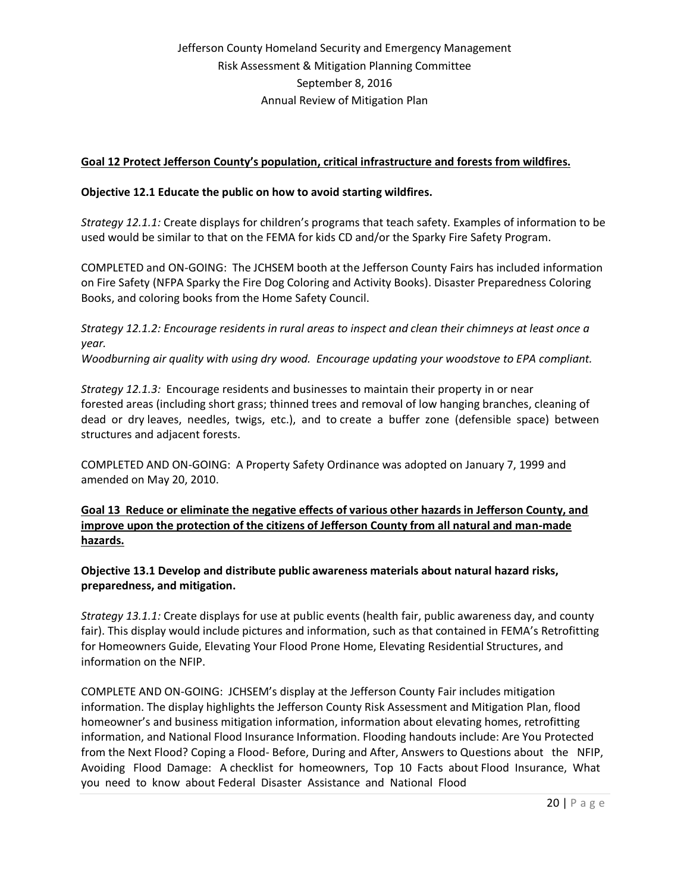### **Goal 12 Protect Jefferson County's population, critical infrastructure and forests from wildfires.**

#### **Objective 12.1 Educate the public on how to avoid starting wildfires.**

*Strategy 12.1.1:* Create displays for children's programs that teach safety. Examples of information to be used would be similar to that on the FEMA for kids CD and/or the Sparky Fire Safety Program.

COMPLETED and ON-GOING: The JCHSEM booth at the Jefferson County Fairs has included information on Fire Safety (NFPA Sparky the Fire Dog Coloring and Activity Books). Disaster Preparedness Coloring Books, and coloring books from the Home Safety Council.

*Strategy 12.1.2: Encourage residents in rural areas to inspect and clean their chimneys at least once a year.*

*Woodburning air quality with using dry wood. Encourage updating your woodstove to EPA compliant.*

*Strategy 12.1.3:* Encourage residents and businesses to maintain their property in or near forested areas (including short grass; thinned trees and removal of low hanging branches, cleaning of dead or dry leaves, needles, twigs, etc.), and to create a buffer zone (defensible space) between structures and adjacent forests.

COMPLETED AND ON-GOING: A Property Safety Ordinance was adopted on January 7, 1999 and amended on May 20, 2010.

**Goal 13 Reduce or eliminate the negative effects of various other hazards in Jefferson County, and improve upon the protection of the citizens of Jefferson County from all natural and man-made hazards.**

**Objective 13.1 Develop and distribute public awareness materials about natural hazard risks, preparedness, and mitigation.**

*Strategy 13.1.1:* Create displays for use at public events (health fair, public awareness day, and county fair). This display would include pictures and information, such as that contained in FEMA's Retrofitting for Homeowners Guide, Elevating Your Flood Prone Home, Elevating Residential Structures, and information on the NFIP.

COMPLETE AND ON-GOING: JCHSEM's display at the Jefferson County Fair includes mitigation information. The display highlights the Jefferson County Risk Assessment and Mitigation Plan, flood homeowner's and business mitigation information, information about elevating homes, retrofitting information, and National Flood Insurance Information. Flooding handouts include: Are You Protected from the Next Flood? Coping a Flood- Before, During and After, Answers to Questions about the NFIP, Avoiding Flood Damage: A checklist for homeowners, Top 10 Facts about Flood Insurance, What you need to know about Federal Disaster Assistance and National Flood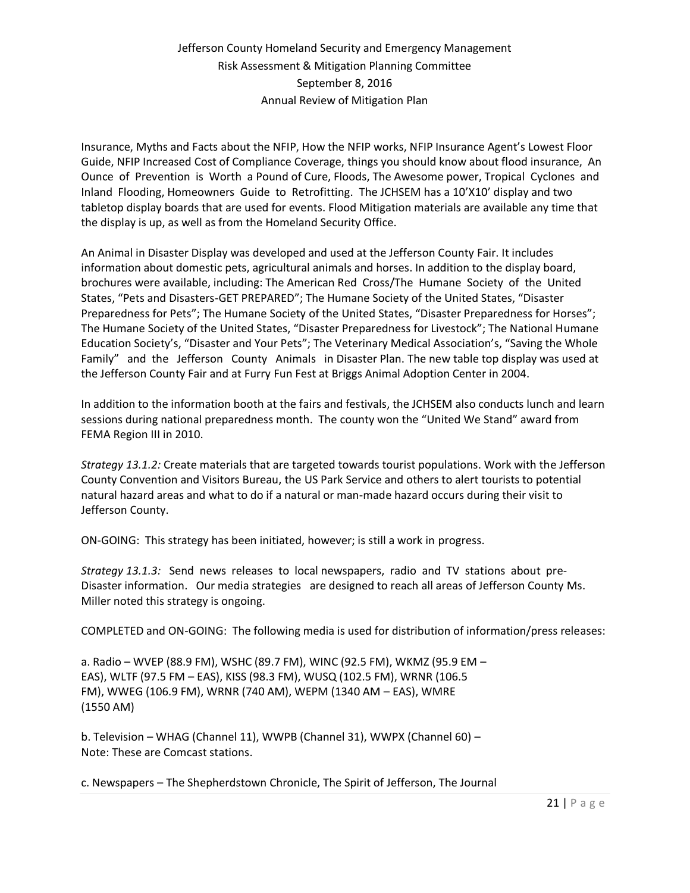Insurance, Myths and Facts about the NFIP, How the NFIP works, NFIP Insurance Agent's Lowest Floor Guide, NFIP Increased Cost of Compliance Coverage, things you should know about flood insurance, An Ounce of Prevention is Worth a Pound of Cure, Floods, The Awesome power, Tropical Cyclones and Inland Flooding, Homeowners Guide to Retrofitting. The JCHSEM has a 10'X10' display and two tabletop display boards that are used for events. Flood Mitigation materials are available any time that the display is up, as well as from the Homeland Security Office.

An Animal in Disaster Display was developed and used at the Jefferson County Fair. It includes information about domestic pets, agricultural animals and horses. In addition to the display board, brochures were available, including: The American Red Cross/The Humane Society of the United States, "Pets and Disasters-GET PREPARED"; The Humane Society of the United States, "Disaster Preparedness for Pets"; The Humane Society of the United States, "Disaster Preparedness for Horses"; The Humane Society of the United States, "Disaster Preparedness for Livestock"; The National Humane Education Society's, "Disaster and Your Pets"; The Veterinary Medical Association's, "Saving the Whole Family" and the Jefferson County Animals in Disaster Plan. The new table top display was used at the Jefferson County Fair and at Furry Fun Fest at Briggs Animal Adoption Center in 2004.

In addition to the information booth at the fairs and festivals, the JCHSEM also conducts lunch and learn sessions during national preparedness month. The county won the "United We Stand" award from FEMA Region III in 2010.

*Strategy 13.1.2:* Create materials that are targeted towards tourist populations. Work with the Jefferson County Convention and Visitors Bureau, the US Park Service and others to alert tourists to potential natural hazard areas and what to do if a natural or man-made hazard occurs during their visit to Jefferson County.

ON-GOING: This strategy has been initiated, however; is still a work in progress.

*Strategy 13.1.3:* Send news releases to local newspapers, radio and TV stations about pre-Disaster information. Our media strategies are designed to reach all areas of Jefferson County Ms. Miller noted this strategy is ongoing.

COMPLETED and ON-GOING: The following media is used for distribution of information/press releases:

a. Radio – WVEP (88.9 FM), WSHC (89.7 FM), WINC (92.5 FM), WKMZ (95.9 EM – EAS), WLTF (97.5 FM – EAS), KISS (98.3 FM), WUSQ (102.5 FM), WRNR (106.5 FM), WWEG (106.9 FM), WRNR (740 AM), WEPM (1340 AM – EAS), WMRE (1550 AM)

b. Television – WHAG (Channel 11), WWPB (Channel 31), WWPX (Channel 60) – Note: These are Comcast stations.

c. Newspapers – The Shepherdstown Chronicle, The Spirit of Jefferson, The Journal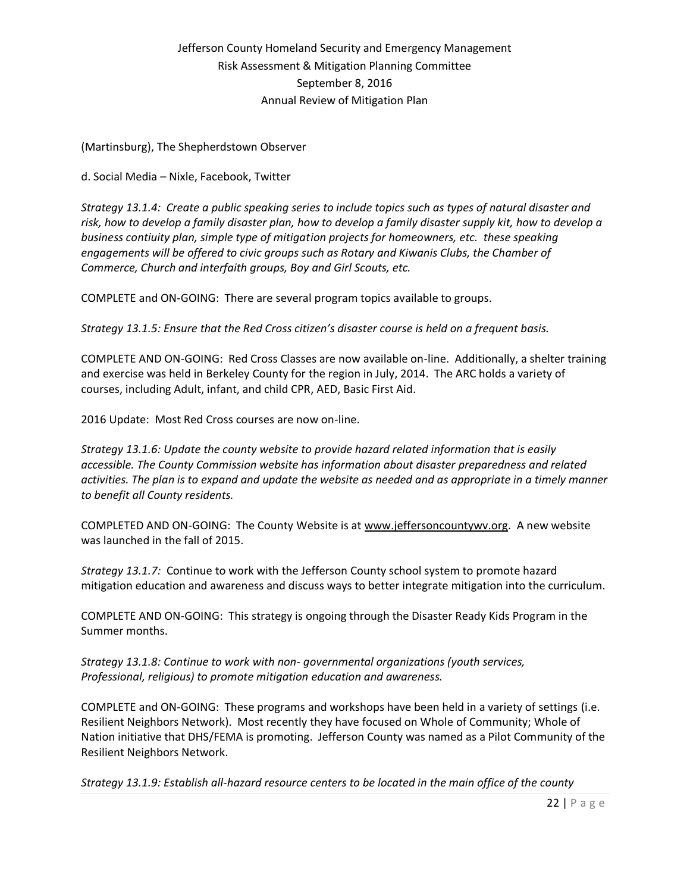(Martinsburg), The Shepherdstown Observer

d. Social Media – Nixle, Facebook, Twitter

*Strategy 13.1.4: Create a public speaking series to include topics such as types of natural disaster and risk, how to develop a family disaster plan, how to develop a family disaster supply kit, how to develop a business contiuity plan, simple type of mitigation projects for homeowners, etc. these speaking engagements will be offered to civic groups such as Rotary and Kiwanis Clubs, the Chamber of Commerce, Church and interfaith groups, Boy and Girl Scouts, etc.*

COMPLETE and ON-GOING: There are several program topics available to groups.

*Strategy 13.1.5: Ensure that the Red Cross citizen's disaster course is held on a frequent basis.*

COMPLETE AND ON-GOING: Red Cross Classes are now available on-line. Additionally, a shelter training and exercise was held in Berkeley County for the region in July, 2014. The ARC holds a variety of courses, including Adult, infant, and child CPR, AED, Basic First Aid.

2016 Update: Most Red Cross courses are now on-line.

*Strategy 13.1.6: Update the county website to provide hazard related information that is easily accessible. The County Commission website has information about disaster preparedness and related activities. The plan is to expand and update the website as needed and as appropriate in a timely manner to benefit all County residents.*

COMPLETED AND ON-GOING: The County Website is at [www.jeffersoncountywv.org.](http://www.jeffersoncountywv.org/) A new website was launched in the fall of 2015.

*Strategy 13.1.7:* Continue to work with the Jefferson County school system to promote hazard mitigation education and awareness and discuss ways to better integrate mitigation into the curriculum.

COMPLETE AND ON-GOING: This strategy is ongoing through the Disaster Ready Kids Program in the Summer months.

*Strategy 13.1.8: Continue to work with non- governmental organizations (youth services, Professional, religious) to promote mitigation education and awareness.*

COMPLETE and ON-GOING: These programs and workshops have been held in a variety of settings (i.e. Resilient Neighbors Network). Most recently they have focused on Whole of Community; Whole of Nation initiative that DHS/FEMA is promoting. Jefferson County was named as a Pilot Community of the Resilient Neighbors Network.

*Strategy 13.1.9: Establish all-hazard resource centers to be located in the main office of the county*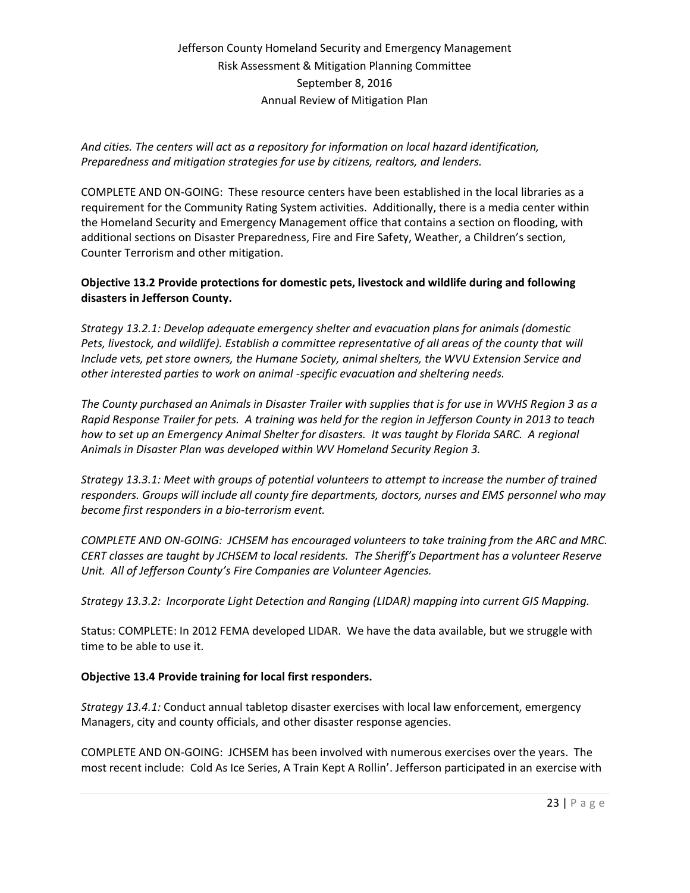*And cities. The centers will act as a repository for information on local hazard identification, Preparedness and mitigation strategies for use by citizens, realtors, and lenders.*

COMPLETE AND ON-GOING: These resource centers have been established in the local libraries as a requirement for the Community Rating System activities. Additionally, there is a media center within the Homeland Security and Emergency Management office that contains a section on flooding, with additional sections on Disaster Preparedness, Fire and Fire Safety, Weather, a Children's section, Counter Terrorism and other mitigation.

### **Objective 13.2 Provide protections for domestic pets, livestock and wildlife during and following disasters in Jefferson County.**

*Strategy 13.2.1: Develop adequate emergency shelter and evacuation plans for animals (domestic Pets, livestock, and wildlife). Establish a committee representative of all areas of the county that will Include vets, pet store owners, the Humane Society, animal shelters, the WVU Extension Service and other interested parties to work on animal -specific evacuation and sheltering needs.*

*The County purchased an Animals in Disaster Trailer with supplies that is for use in WVHS Region 3 as a Rapid Response Trailer for pets. A training was held for the region in Jefferson County in 2013 to teach how to set up an Emergency Animal Shelter for disasters. It was taught by Florida SARC. A regional Animals in Disaster Plan was developed within WV Homeland Security Region 3.*

*Strategy 13.3.1: Meet with groups of potential volunteers to attempt to increase the number of trained responders. Groups will include all county fire departments, doctors, nurses and EMS personnel who may become first responders in a bio-terrorism event.*

*COMPLETE AND ON-GOING: JCHSEM has encouraged volunteers to take training from the ARC and MRC. CERT classes are taught by JCHSEM to local residents. The Sheriff's Department has a volunteer Reserve Unit. All of Jefferson County's Fire Companies are Volunteer Agencies.*

*Strategy 13.3.2: Incorporate Light Detection and Ranging (LIDAR) mapping into current GIS Mapping.*

Status: COMPLETE: In 2012 FEMA developed LIDAR. We have the data available, but we struggle with time to be able to use it.

### **Objective 13.4 Provide training for local first responders.**

*Strategy 13.4.1:* Conduct annual tabletop disaster exercises with local law enforcement, emergency Managers, city and county officials, and other disaster response agencies.

COMPLETE AND ON-GOING: JCHSEM has been involved with numerous exercises over the years. The most recent include: Cold As Ice Series, A Train Kept A Rollin'. Jefferson participated in an exercise with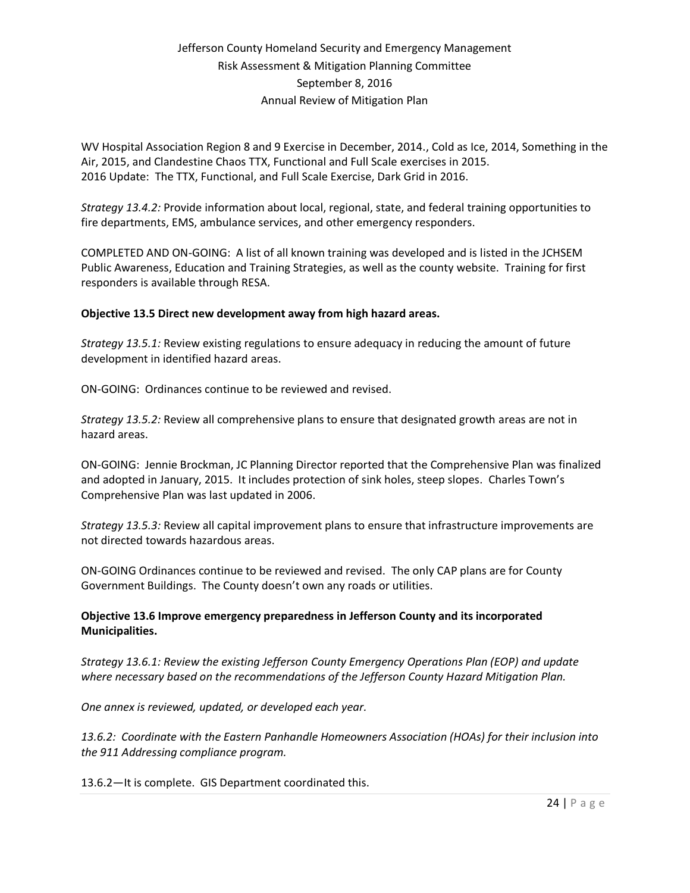WV Hospital Association Region 8 and 9 Exercise in December, 2014., Cold as Ice, 2014, Something in the Air, 2015, and Clandestine Chaos TTX, Functional and Full Scale exercises in 2015. 2016 Update: The TTX, Functional, and Full Scale Exercise, Dark Grid in 2016.

*Strategy 13.4.2:* Provide information about local, regional, state, and federal training opportunities to fire departments, EMS, ambulance services, and other emergency responders.

COMPLETED AND ON-GOING: A list of all known training was developed and is listed in the JCHSEM Public Awareness, Education and Training Strategies, as well as the county website. Training for first responders is available through RESA.

#### **Objective 13.5 Direct new development away from high hazard areas.**

*Strategy 13.5.1:* Review existing regulations to ensure adequacy in reducing the amount of future development in identified hazard areas.

ON-GOING: Ordinances continue to be reviewed and revised.

*Strategy 13.5.2:* Review all comprehensive plans to ensure that designated growth areas are not in hazard areas.

ON-GOING: Jennie Brockman, JC Planning Director reported that the Comprehensive Plan was finalized and adopted in January, 2015. It includes protection of sink holes, steep slopes. Charles Town's Comprehensive Plan was last updated in 2006.

*Strategy 13.5.3:* Review all capital improvement plans to ensure that infrastructure improvements are not directed towards hazardous areas.

ON-GOING Ordinances continue to be reviewed and revised. The only CAP plans are for County Government Buildings. The County doesn't own any roads or utilities.

#### **Objective 13.6 Improve emergency preparedness in Jefferson County and its incorporated Municipalities.**

*Strategy 13.6.1: Review the existing Jefferson County Emergency Operations Plan (EOP) and update where necessary based on the recommendations of the Jefferson County Hazard Mitigation Plan.*

*One annex is reviewed, updated, or developed each year.* 

*13.6.2: Coordinate with the Eastern Panhandle Homeowners Association (HOAs) for their inclusion into the 911 Addressing compliance program.*

13.6.2—It is complete. GIS Department coordinated this.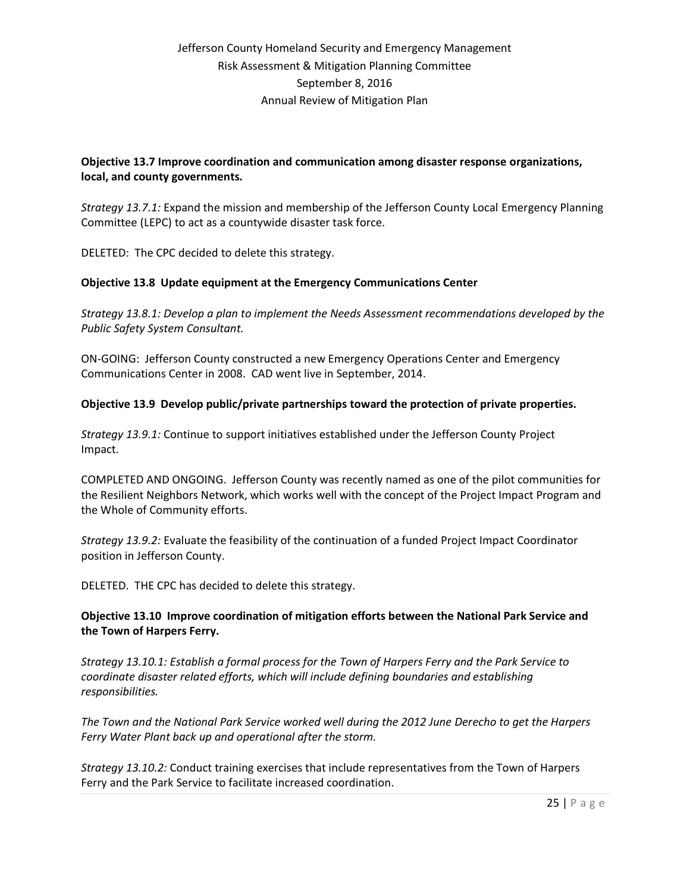### **Objective 13.7 Improve coordination and communication among disaster response organizations, local, and county governments.**

*Strategy 13.7.1:* Expand the mission and membership of the Jefferson County Local Emergency Planning Committee (LEPC) to act as a countywide disaster task force.

DELETED: The CPC decided to delete this strategy.

#### **Objective 13.8 Update equipment at the Emergency Communications Center**

*Strategy 13.8.1: Develop a plan to implement the Needs Assessment recommendations developed by the Public Safety System Consultant.*

ON-GOING: Jefferson County constructed a new Emergency Operations Center and Emergency Communications Center in 2008. CAD went live in September, 2014.

#### **Objective 13.9 Develop public/private partnerships toward the protection of private properties.**

*Strategy 13.9.1:* Continue to support initiatives established under the Jefferson County Project Impact.

COMPLETED AND ONGOING. Jefferson County was recently named as one of the pilot communities for the Resilient Neighbors Network, which works well with the concept of the Project Impact Program and the Whole of Community efforts.

*Strategy 13.9.2:* Evaluate the feasibility of the continuation of a funded Project Impact Coordinator position in Jefferson County.

DELETED. THE CPC has decided to delete this strategy.

#### **Objective 13.10 Improve coordination of mitigation efforts between the National Park Service and the Town of Harpers Ferry.**

*Strategy 13.10.1: Establish a formal process for the Town of Harpers Ferry and the Park Service to coordinate disaster related efforts, which will include defining boundaries and establishing responsibilities.*

*The Town and the National Park Service worked well during the 2012 June Derecho to get the Harpers Ferry Water Plant back up and operational after the storm.*

*Strategy 13.10.2:* Conduct training exercises that include representatives from the Town of Harpers Ferry and the Park Service to facilitate increased coordination.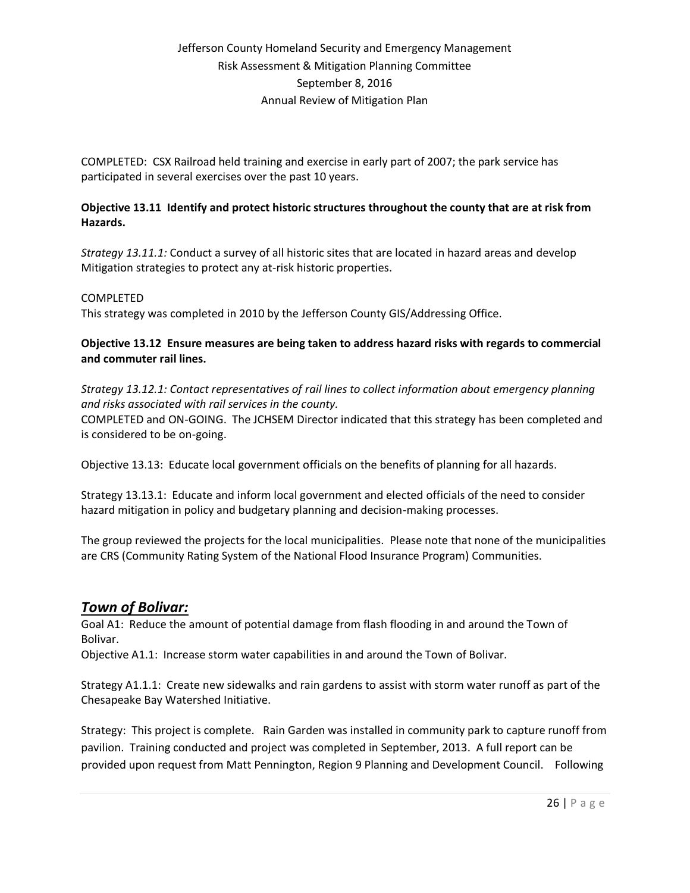COMPLETED: CSX Railroad held training and exercise in early part of 2007; the park service has participated in several exercises over the past 10 years.

### **Objective 13.11 Identify and protect historic structures throughout the county that are at risk from Hazards.**

*Strategy 13.11.1:* Conduct a survey of all historic sites that are located in hazard areas and develop Mitigation strategies to protect any at-risk historic properties.

#### COMPLETED

This strategy was completed in 2010 by the Jefferson County GIS/Addressing Office.

### **Objective 13.12 Ensure measures are being taken to address hazard risks with regards to commercial and commuter rail lines.**

*Strategy 13.12.1: Contact representatives of rail lines to collect information about emergency planning and risks associated with rail services in the county.*

COMPLETED and ON-GOING. The JCHSEM Director indicated that this strategy has been completed and is considered to be on-going.

Objective 13.13: Educate local government officials on the benefits of planning for all hazards.

Strategy 13.13.1: Educate and inform local government and elected officials of the need to consider hazard mitigation in policy and budgetary planning and decision-making processes.

The group reviewed the projects for the local municipalities. Please note that none of the municipalities are CRS (Community Rating System of the National Flood Insurance Program) Communities.

# *Town of Bolivar:*

Goal A1: Reduce the amount of potential damage from flash flooding in and around the Town of Bolivar.

Objective A1.1: Increase storm water capabilities in and around the Town of Bolivar.

Strategy A1.1.1: Create new sidewalks and rain gardens to assist with storm water runoff as part of the Chesapeake Bay Watershed Initiative.

Strategy: This project is complete. Rain Garden was installed in community park to capture runoff from pavilion. Training conducted and project was completed in September, 2013. A full report can be provided upon request from Matt Pennington, Region 9 Planning and Development Council. Following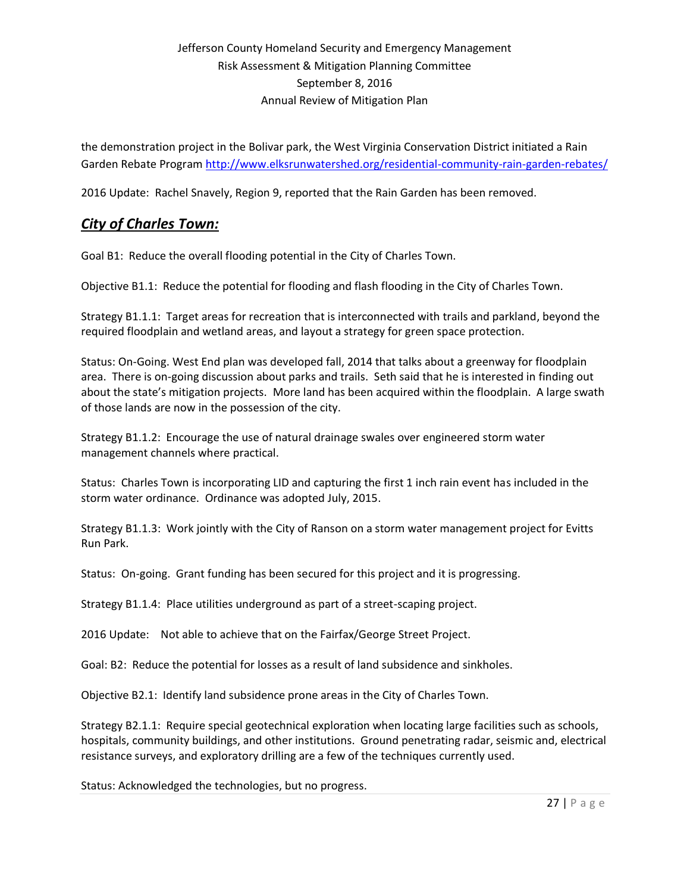the demonstration project in the Bolivar park, the West Virginia Conservation District initiated a Rain Garden Rebate Program<http://www.elksrunwatershed.org/residential-community-rain-garden-rebates/>

2016 Update: Rachel Snavely, Region 9, reported that the Rain Garden has been removed.

# *City of Charles Town:*

Goal B1: Reduce the overall flooding potential in the City of Charles Town.

Objective B1.1: Reduce the potential for flooding and flash flooding in the City of Charles Town.

Strategy B1.1.1: Target areas for recreation that is interconnected with trails and parkland, beyond the required floodplain and wetland areas, and layout a strategy for green space protection.

Status: On-Going. West End plan was developed fall, 2014 that talks about a greenway for floodplain area. There is on-going discussion about parks and trails. Seth said that he is interested in finding out about the state's mitigation projects. More land has been acquired within the floodplain. A large swath of those lands are now in the possession of the city.

Strategy B1.1.2: Encourage the use of natural drainage swales over engineered storm water management channels where practical.

Status: Charles Town is incorporating LID and capturing the first 1 inch rain event has included in the storm water ordinance. Ordinance was adopted July, 2015.

Strategy B1.1.3: Work jointly with the City of Ranson on a storm water management project for Evitts Run Park.

Status: On-going. Grant funding has been secured for this project and it is progressing.

Strategy B1.1.4: Place utilities underground as part of a street-scaping project.

2016 Update: Not able to achieve that on the Fairfax/George Street Project.

Goal: B2: Reduce the potential for losses as a result of land subsidence and sinkholes.

Objective B2.1: Identify land subsidence prone areas in the City of Charles Town.

Strategy B2.1.1: Require special geotechnical exploration when locating large facilities such as schools, hospitals, community buildings, and other institutions. Ground penetrating radar, seismic and, electrical resistance surveys, and exploratory drilling are a few of the techniques currently used.

Status: Acknowledged the technologies, but no progress.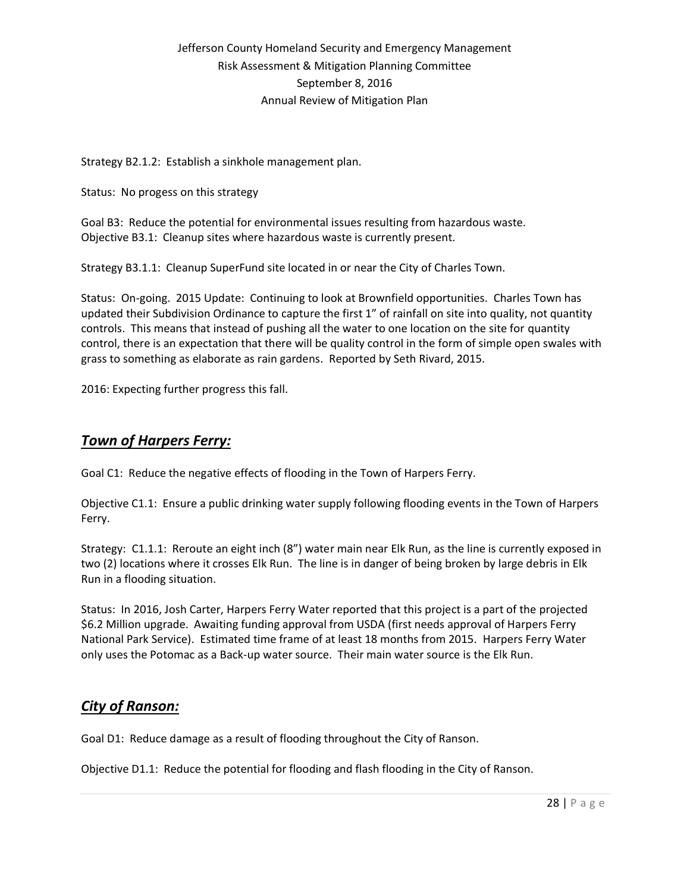Strategy B2.1.2: Establish a sinkhole management plan.

Status: No progess on this strategy

Goal B3: Reduce the potential for environmental issues resulting from hazardous waste. Objective B3.1: Cleanup sites where hazardous waste is currently present.

Strategy B3.1.1: Cleanup SuperFund site located in or near the City of Charles Town.

Status: On-going. 2015 Update: Continuing to look at Brownfield opportunities. Charles Town has updated their Subdivision Ordinance to capture the first 1" of rainfall on site into quality, not quantity controls. This means that instead of pushing all the water to one location on the site for quantity control, there is an expectation that there will be quality control in the form of simple open swales with grass to something as elaborate as rain gardens. Reported by Seth Rivard, 2015.

2016: Expecting further progress this fall.

# *Town of Harpers Ferry:*

Goal C1: Reduce the negative effects of flooding in the Town of Harpers Ferry.

Objective C1.1: Ensure a public drinking water supply following flooding events in the Town of Harpers Ferry.

Strategy: C1.1.1: Reroute an eight inch (8") water main near Elk Run, as the line is currently exposed in two (2) locations where it crosses Elk Run. The line is in danger of being broken by large debris in Elk Run in a flooding situation.

Status: In 2016, Josh Carter, Harpers Ferry Water reported that this project is a part of the projected \$6.2 Million upgrade. Awaiting funding approval from USDA (first needs approval of Harpers Ferry National Park Service). Estimated time frame of at least 18 months from 2015. Harpers Ferry Water only uses the Potomac as a Back-up water source. Their main water source is the Elk Run.

# *City of Ranson:*

Goal D1: Reduce damage as a result of flooding throughout the City of Ranson.

Objective D1.1: Reduce the potential for flooding and flash flooding in the City of Ranson.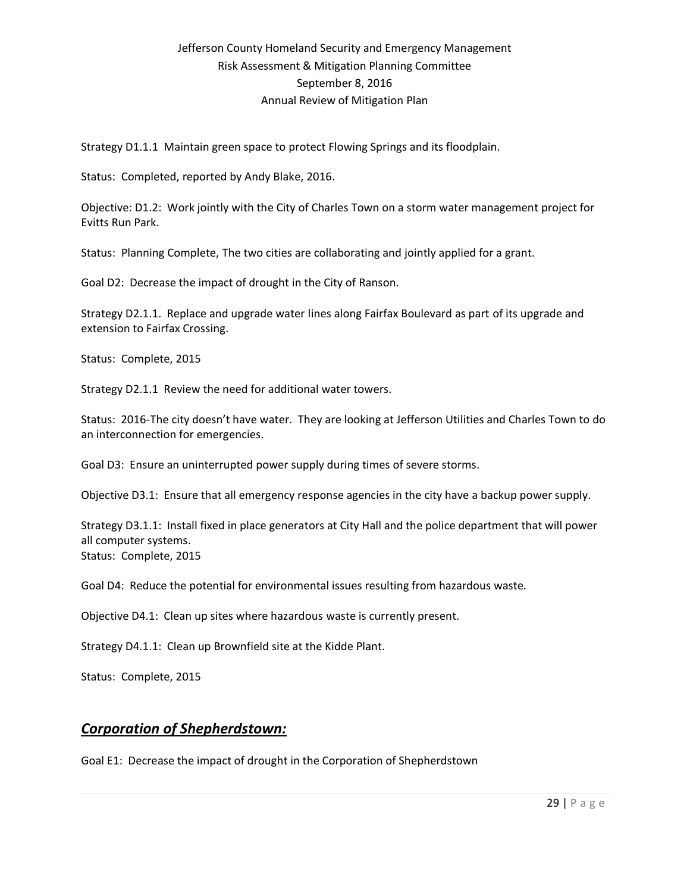Strategy D1.1.1 Maintain green space to protect Flowing Springs and its floodplain.

Status: Completed, reported by Andy Blake, 2016.

Objective: D1.2: Work jointly with the City of Charles Town on a storm water management project for Evitts Run Park.

Status: Planning Complete, The two cities are collaborating and jointly applied for a grant.

Goal D2: Decrease the impact of drought in the City of Ranson.

Strategy D2.1.1. Replace and upgrade water lines along Fairfax Boulevard as part of its upgrade and extension to Fairfax Crossing.

Status: Complete, 2015

Strategy D2.1.1 Review the need for additional water towers.

Status: 2016-The city doesn't have water. They are looking at Jefferson Utilities and Charles Town to do an interconnection for emergencies.

Goal D3: Ensure an uninterrupted power supply during times of severe storms.

Objective D3.1: Ensure that all emergency response agencies in the city have a backup power supply.

Strategy D3.1.1: Install fixed in place generators at City Hall and the police department that will power all computer systems. Status: Complete, 2015

Goal D4: Reduce the potential for environmental issues resulting from hazardous waste.

Objective D4.1: Clean up sites where hazardous waste is currently present.

Strategy D4.1.1: Clean up Brownfield site at the Kidde Plant.

Status: Complete, 2015

# *Corporation of Shepherdstown:*

Goal E1: Decrease the impact of drought in the Corporation of Shepherdstown